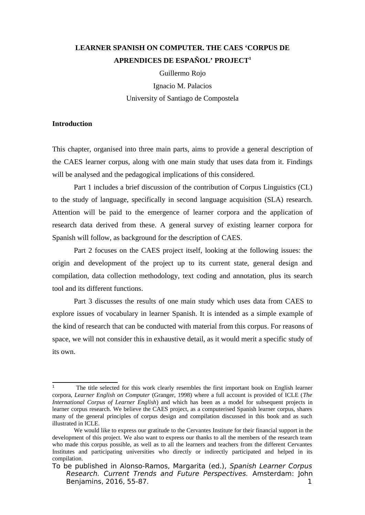# **LEARNER SPANISH ON COMPUTER. THE CAES 'CORPUS DE APRENDICES DE ESPAÑOL' PROJECT[1](#page-0-0)**

Guillermo Rojo

Ignacio M. Palacios University of Santiago de Compostela

#### **Introduction**

This chapter, organised into three main parts, aims to provide a general description of the CAES learner corpus, along with one main study that uses data from it. Findings will be analysed and the pedagogical implications of this considered.

Part 1 includes a brief discussion of the contribution of Corpus Linguistics (CL) to the study of language, specifically in second language acquisition (SLA) research. Attention will be paid to the emergence of learner corpora and the application of research data derived from these. A general survey of existing learner corpora for Spanish will follow, as background for the description of CAES.

Part 2 focuses on the CAES project itself, looking at the following issues: the origin and development of the project up to its current state, general design and compilation, data collection methodology, text coding and annotation, plus its search tool and its different functions.

Part 3 discusses the results of one main study which uses data from CAES to explore issues of vocabulary in learner Spanish. It is intended as a simple example of the kind of research that can be conducted with material from this corpus. For reasons of space, we will not consider this in exhaustive detail, as it would merit a specific study of its own.

<span id="page-0-0"></span><sup>1</sup> The title selected for this work clearly resembles the first important book on English learner corpora, *Learner English on Computer* (Granger, 1998) where a full account is provided of ICLE (*The International Corpus of Learner English*) and which has been as a model for subsequent projects in learner corpus research. We believe the CAES project, as a computerised Spanish learner corpus, shares many of the general principles of corpus design and compilation discussed in this book and as such illustrated in ICLE.

We would like to express our gratitude to the Cervantes Institute for their financial support in the development of this project. We also want to express our thanks to all the members of the research team who made this corpus possible, as well as to all the learners and teachers from the different Cervantes Institutes and participating universities who directly or indirectly participated and helped in its compilation.

To be published in Alonso-Ramos, Margarita (ed.), Spanish Learner Corpus Research. Current Trends and Future Perspectives. Amsterdam: John Benjamins, 2016, 55-87. 1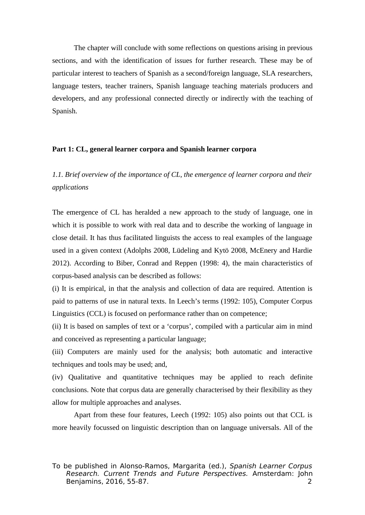The chapter will conclude with some reflections on questions arising in previous sections, and with the identification of issues for further research. These may be of particular interest to teachers of Spanish as a second/foreign language, SLA researchers, language testers, teacher trainers, Spanish language teaching materials producers and developers, and any professional connected directly or indirectly with the teaching of Spanish.

#### **Part 1: CL, general learner corpora and Spanish learner corpora**

*1.1. Brief overview of the importance of CL, the emergence of learner corpora and their applications*

The emergence of CL has heralded a new approach to the study of language, one in which it is possible to work with real data and to describe the working of language in close detail. It has thus facilitated linguists the access to real examples of the language used in a given context (Adolphs 2008, Lüdeling and Kytö 2008, McEnery and Hardie 2012). According to Biber, Conrad and Reppen (1998: 4), the main characteristics of corpus-based analysis can be described as follows:

(i) It is empirical, in that the analysis and collection of data are required. Attention is paid to patterns of use in natural texts. In Leech's terms (1992: 105), Computer Corpus Linguistics (CCL) is focused on performance rather than on competence;

(ii) It is based on samples of text or a 'corpus', compiled with a particular aim in mind and conceived as representing a particular language;

(iii) Computers are mainly used for the analysis; both automatic and interactive techniques and tools may be used; and,

(iv) Qualitative and quantitative techniques may be applied to reach definite conclusions. Note that corpus data are generally characterised by their flexibility as they allow for multiple approaches and analyses.

Apart from these four features, Leech (1992: 105) also points out that CCL is more heavily focussed on linguistic description than on language universals. All of the

To be published in Alonso-Ramos, Margarita (ed.), Spanish Learner Corpus Research. Current Trends and Future Perspectives. Amsterdam: John Benjamins, 2016, 55-87.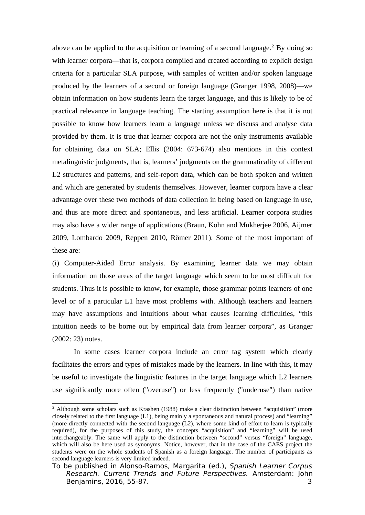above can be applied to the acquisition or learning of a second language.<sup>[2](#page-2-0)</sup> By doing so with learner corpora—that is, corpora compiled and created according to explicit design criteria for a particular SLA purpose, with samples of written and/or spoken language produced by the learners of a second or foreign language (Granger 1998, 2008)―we obtain information on how students learn the target language, and this is likely to be of practical relevance in language teaching. The starting assumption here is that it is not possible to know how learners learn a language unless we discuss and analyse data provided by them. It is true that learner corpora are not the only instruments available for obtaining data on SLA; Ellis (2004: 673-674) also mentions in this context metalinguistic judgments, that is, learners' judgments on the grammaticality of different L2 structures and patterns, and self-report data, which can be both spoken and written and which are generated by students themselves. However, learner corpora have a clear advantage over these two methods of data collection in being based on language in use, and thus are more direct and spontaneous, and less artificial. Learner corpora studies may also have a wider range of applications (Braun, Kohn and Mukherjee 2006, Aijmer 2009, Lombardo 2009, Reppen 2010, Römer 2011). Some of the most important of these are:

(i) Computer-Aided Error analysis. By examining learner data we may obtain information on those areas of the target language which seem to be most difficult for students. Thus it is possible to know, for example, those grammar points learners of one level or of a particular L1 have most problems with. Although teachers and learners may have assumptions and intuitions about what causes learning difficulties, "this intuition needs to be borne out by empirical data from learner corpora", as Granger (2002: 23) notes.

In some cases learner corpora include an error tag system which clearly facilitates the errors and types of mistakes made by the learners. In line with this, it may be useful to investigate the linguistic features in the target language which L2 learners use significantly more often ("overuse") or less frequently ("underuse") than native

<span id="page-2-0"></span><sup>&</sup>lt;sup>2</sup> Although some scholars such as Krashen (1988) make a clear distinction between "acquisition" (more closely related to the first language (L1), being mainly a spontaneous and natural process) and "learning" (more directly connected with the second language (L2), where some kind of effort to learn is typically required), for the purposes of this study, the concepts "acquisition" and "learning" will be used interchangeably. The same will apply to the distinction between "second" versus "foreign" language, which will also be here used as synonyms. Notice, however, that in the case of the CAES project the students were on the whole students of Spanish as a foreign language. The number of participants as second language learners is very limited indeed.

To be published in Alonso-Ramos, Margarita (ed.), Spanish Learner Corpus Research. Current Trends and Future Perspectives. Amsterdam: John Benjamins, 2016, 55-87. 3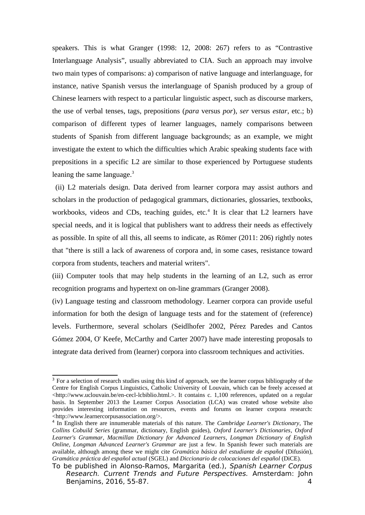speakers. This is what Granger (1998: 12, 2008: 267) refers to as "Contrastive Interlanguage Analysis", usually abbreviated to CIA. Such an approach may involve two main types of comparisons: a) comparison of native language and interlanguage, for instance, native Spanish versus the interlanguage of Spanish produced by a group of Chinese learners with respect to a particular linguistic aspect, such as discourse markers, the use of verbal tenses, tags, prepositions (*para* versus *por*), *ser* versus *estar*, etc.; b) comparison of different types of learner languages, namely comparisons between students of Spanish from different language backgrounds; as an example, we might investigate the extent to which the difficulties which Arabic speaking students face with prepositions in a specific L2 are similar to those experienced by Portuguese students leaning the same language. $3$ 

(ii) L2 materials design. Data derived from learner corpora may assist authors and scholars in the production of pedagogical grammars, dictionaries, glossaries, textbooks, workbooks, videos and CDs, teaching guides, etc.<sup>[4](#page-3-1)</sup> It is clear that L2 learners have special needs, and it is logical that publishers want to address their needs as effectively as possible. In spite of all this, all seems to indicate, as Römer (2011: 206) rightly notes that "there is still a lack of awareness of corpora and, in some cases, resistance toward corpora from students, teachers and material writers".

(iii) Computer tools that may help students in the learning of an L2, such as error recognition programs and hypertext on on-line grammars (Granger 2008).

(iv) Language testing and classroom methodology. Learner corpora can provide useful information for both the design of language tests and for the statement of (reference) levels. Furthermore, several scholars (Seidlhofer 2002, Pérez Paredes and Cantos Gómez 2004, O' Keefe, McCarthy and Carter 2007) have made interesting proposals to integrate data derived from (learner) corpora into classroom techniques and activities.

<span id="page-3-0"></span><sup>&</sup>lt;sup>3</sup> For a selection of research studies using this kind of approach, see the learner corpus bibliography of the Centre for English Corpus Linguistics, Catholic University of Louvain, which can be freely accessed at <http://www.uclouvain.be/en-cecl-lcbiblio.html.>. It contains c. 1,100 references, updated on a regular basis. In September 2013 the Learner Corpus Association (LCA) was created whose website also provides interesting information on resources, events and forums on learner corpora research: <http://www.learnercorpusassociation.org/>.

<span id="page-3-1"></span><sup>4</sup> In English there are innumerable materials of this nature. The *Cambridge Learner's Dictionary*, The *Collins Cobuild Series* (grammar, dictionary, English guides), *Oxford Learner's Dictionaries*, *Oxford Learner's Grammar*, *Macmillan Dictionary for Advanced Learners*, *Longman Dictionary of English Online, Longman Advanced Learner's Grammar* are just a few. In Spanish fewer such materials are available, although among these we might cite *Gramática básica del estudiante de español* (Difusión), *Gramática práctica del español actual* (SGEL) and *Diccionario de colocaciones del español* (DiCE).

To be published in Alonso-Ramos, Margarita (ed.), Spanish Learner Corpus Research. Current Trends and Future Perspectives. Amsterdam: John Benjamins, 2016, 55-87. 4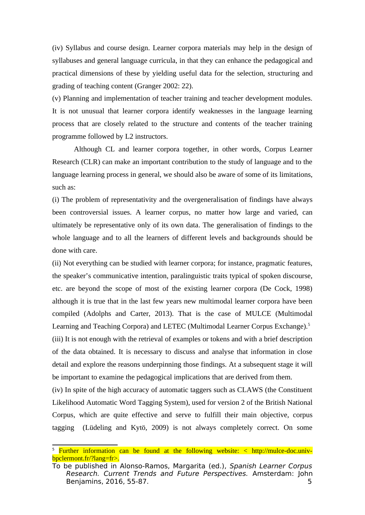(iv) Syllabus and course design. Learner corpora materials may help in the design of syllabuses and general language curricula, in that they can enhance the pedagogical and practical dimensions of these by yielding useful data for the selection, structuring and grading of teaching content (Granger 2002: 22).

(v) Planning and implementation of teacher training and teacher development modules. It is not unusual that learner corpora identify weaknesses in the language learning process that are closely related to the structure and contents of the teacher training programme followed by L2 instructors.

Although CL and learner corpora together, in other words, Corpus Learner Research (CLR) can make an important contribution to the study of language and to the language learning process in general, we should also be aware of some of its limitations, such as:

(i) The problem of representativity and the overgeneralisation of findings have always been controversial issues. A learner corpus, no matter how large and varied, can ultimately be representative only of its own data. The generalisation of findings to the whole language and to all the learners of different levels and backgrounds should be done with care.

(ii) Not everything can be studied with learner corpora; for instance, pragmatic features, the speaker's communicative intention, paralinguistic traits typical of spoken discourse, etc. are beyond the scope of most of the existing learner corpora (De Cock, 1998) although it is true that in the last few years new multimodal learner corpora have been compiled (Adolphs and Carter, 2013). That is the case of MULCE (Multimodal Learning and Teaching Corpora) and LETEC (Multimodal Learner Corpus Exchange).<sup>[5](#page-4-0)</sup>

(iii) It is not enough with the retrieval of examples or tokens and with a brief description of the data obtained. It is necessary to discuss and analyse that information in close detail and explore the reasons underpinning those findings. At a subsequent stage it will be important to examine the pedagogical implications that are derived from them.

(iv) In spite of the high accuracy of automatic taggers such as CLAWS (the Constituent Likelihood Automatic Word Tagging System), used for version 2 of the British National Corpus, which are quite effective and serve to fulfill their main objective, corpus tagging (Lüdeling and Kytö, 2009) is not always completely correct. On some

<span id="page-4-0"></span><sup>&</sup>lt;sup>5</sup> Further information can be found at the following website: < http://mulce-doc.univbpclermont.fr/?lang=fr>.

To be published in Alonso-Ramos, Margarita (ed.), Spanish Learner Corpus Research. Current Trends and Future Perspectives. Amsterdam: John Benjamins, 2016, 55-87. 5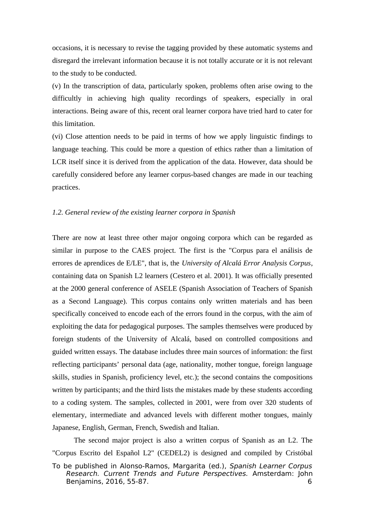occasions, it is necessary to revise the tagging provided by these automatic systems and disregard the irrelevant information because it is not totally accurate or it is not relevant to the study to be conducted.

(v) In the transcription of data, particularly spoken, problems often arise owing to the difficultly in achieving high quality recordings of speakers, especially in oral interactions. Being aware of this, recent oral learner corpora have tried hard to cater for this limitation.

(vi) Close attention needs to be paid in terms of how we apply linguistic findings to language teaching. This could be more a question of ethics rather than a limitation of LCR itself since it is derived from the application of the data. However, data should be carefully considered before any learner corpus-based changes are made in our teaching practices.

#### *1.2. General review of the existing learner corpora in Spanish*

There are now at least three other major ongoing corpora which can be regarded as similar in purpose to the CAES project. The first is the "Corpus para el análisis de errores de aprendices de E/LE", that is, the *University of Alcalá Error Analysis Corpus*, containing data on Spanish L2 learners (Cestero et al. 2001). It was officially presented at the 2000 general conference of ASELE (Spanish Association of Teachers of Spanish as a Second Language). This corpus contains only written materials and has been specifically conceived to encode each of the errors found in the corpus, with the aim of exploiting the data for pedagogical purposes. The samples themselves were produced by foreign students of the University of Alcalá, based on controlled compositions and guided written essays. The database includes three main sources of information: the first reflecting participants' personal data (age, nationality, mother tongue, foreign language skills, studies in Spanish, proficiency level, etc.); the second contains the compositions written by participants; and the third lists the mistakes made by these students according to a coding system. The samples, collected in 2001, were from over 320 students of elementary, intermediate and advanced levels with different mother tongues, mainly Japanese, English, German, French, Swedish and Italian.

The second major project is also a written corpus of Spanish as an L2. The "Corpus Escrito del Español L2" (CEDEL2) is designed and compiled by Cristóbal

To be published in Alonso-Ramos, Margarita (ed.), Spanish Learner Corpus Research. Current Trends and Future Perspectives. Amsterdam: John Benjamins, 2016, 55-87. 6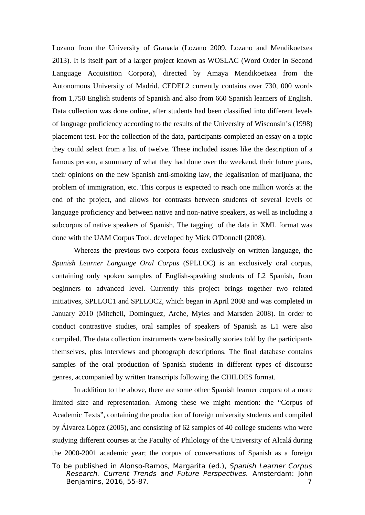Lozano from the University of Granada (Lozano 2009, Lozano and Mendikoetxea 2013). It is itself part of a larger project known as WOSLAC (Word Order in Second Language Acquisition Corpora), directed by Amaya Mendikoetxea from the Autonomous University of Madrid. CEDEL2 currently contains over 730, 000 words from 1,750 English students of Spanish and also from 660 Spanish learners of English. Data collection was done online, after students had been classified into different levels of language proficiency according to the results of the University of Wisconsin's (1998) placement test. For the collection of the data, participants completed an essay on a topic they could select from a list of twelve. These included issues like the description of a famous person, a summary of what they had done over the weekend, their future plans, their opinions on the new Spanish anti-smoking law, the legalisation of marijuana, the problem of immigration, etc. This corpus is expected to reach one million words at the end of the project, and allows for contrasts between students of several levels of language proficiency and between native and non-native speakers, as well as including a subcorpus of native speakers of Spanish. The tagging of the data in XML format was done with the UAM Corpus Tool, developed by Mick O'Donnell (2008).

Whereas the previous two corpora focus exclusively on written language, the *Spanish Learner Language Oral Corpus* (SPLLOC) is an exclusively oral corpus, containing only spoken samples of English-speaking students of L2 Spanish, from beginners to advanced level. Currently this project brings together two related initiatives, SPLLOC1 and SPLLOC2, which began in April 2008 and was completed in January 2010 (Mitchell, Domínguez, Arche, Myles and Marsden 2008). In order to conduct contrastive studies, oral samples of speakers of Spanish as L1 were also compiled. The data collection instruments were basically stories told by the participants themselves, plus interviews and photograph descriptions. The final database contains samples of the oral production of Spanish students in different types of discourse genres, accompanied by written transcripts following the CHILDES format.

In addition to the above, there are some other Spanish learner corpora of a more limited size and representation. Among these we might mention: the "Corpus of Academic Texts", containing the production of foreign university students and compiled by Álvarez López (2005), and consisting of 62 samples of 40 college students who were studying different courses at the Faculty of Philology of the University of Alcalá during the 2000-2001 academic year; the corpus of conversations of Spanish as a foreign

To be published in Alonso-Ramos, Margarita (ed.), Spanish Learner Corpus Research. Current Trends and Future Perspectives. Amsterdam: John Benjamins, 2016, 55-87. 7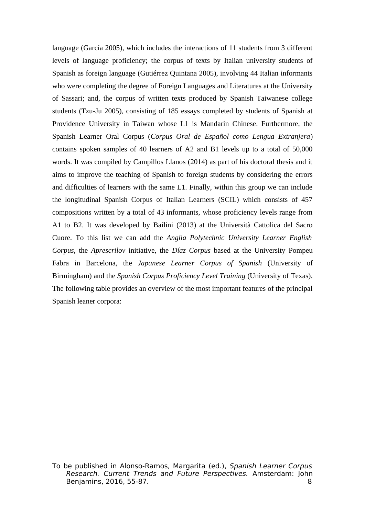language (García 2005), which includes the interactions of 11 students from 3 different levels of language proficiency; the corpus of texts by Italian university students of Spanish as foreign language (Gutiérrez Quintana 2005), involving 44 Italian informants who were completing the degree of Foreign Languages and Literatures at the University of Sassari; and, the corpus of written texts produced by Spanish Taiwanese college students (Tzu-Ju 2005), consisting of 185 essays completed by students of Spanish at Providence University in Taiwan whose L1 is Mandarin Chinese. Furthermore, the Spanish Learner Oral Corpus (*Corpus Oral de Español como Lengua Extranjera*) contains spoken samples of 40 learners of A2 and B1 levels up to a total of 50,000 words. It was compiled by Campillos Llanos (2014) as part of his doctoral thesis and it aims to improve the teaching of Spanish to foreign students by considering the errors and difficulties of learners with the same L1. Finally, within this group we can include the longitudinal Spanish Corpus of Italian Learners (SCIL) which consists of 457 compositions written by a total of 43 informants, whose proficiency levels range from A1 to B2. It was developed by Bailini (2013) at the Università Cattolica del Sacro Cuore. To this list we can add the *Anglia Polytechnic University Learner English Corpus*, the *Aprescrilov* initiative, the *Díaz Corpus* based at the University Pompeu Fabra in Barcelona, the *Japanese Learner Corpus of Spanish* (University of Birmingham) and the *Spanish Corpus Proficiency Level Training* (University of Texas). The following table provides an overview of the most important features of the principal Spanish leaner corpora:

To be published in Alonso-Ramos, Margarita (ed.), Spanish Learner Corpus Research. Current Trends and Future Perspectives. Amsterdam: John Benjamins, 2016, 55-87.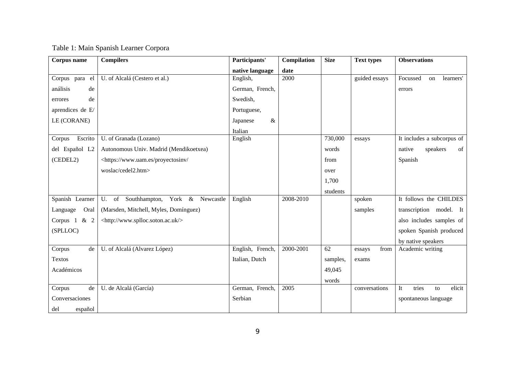|  |  | Table 1: Main Spanish Learner Corpora |  |
|--|--|---------------------------------------|--|
|  |  |                                       |  |

| <b>Corpus name</b> | <b>Compilers</b>                                                                                                   | Participants'    | Compilation | <b>Size</b> | <b>Text types</b> | <b>Observations</b>         |
|--------------------|--------------------------------------------------------------------------------------------------------------------|------------------|-------------|-------------|-------------------|-----------------------------|
|                    |                                                                                                                    | native language  | date        |             |                   |                             |
| Corpus para el     | U. of Alcalá (Cestero et al.)                                                                                      | English,         | 2000        |             | guided essays     | Focussed<br>learners'<br>on |
| análisis<br>de     |                                                                                                                    | German, French,  |             |             |                   | errors                      |
| de<br>errores      |                                                                                                                    | Swedish,         |             |             |                   |                             |
| aprendices de E/   |                                                                                                                    | Portuguese,      |             |             |                   |                             |
| LE (CORANE)        |                                                                                                                    | $\&$<br>Japanese |             |             |                   |                             |
|                    |                                                                                                                    | Italian          |             |             |                   |                             |
| Escrito<br>Corpus  | U. of Granada (Lozano)                                                                                             | English          |             | 730,000     | essays            | It includes a subcorpus of  |
| del Español L2     | Autonomous Univ. Madrid (Mendikoetxea)                                                                             |                  |             | words       |                   | speakers<br>native<br>of    |
| (CEDEL2)           | <https: <="" proyectosinv="" td="" www.uam.es=""><td></td><td></td><td>from</td><td></td><td>Spanish</td></https:> |                  |             | from        |                   | Spanish                     |
|                    | woslac/cedel2.htm>                                                                                                 |                  |             | over        |                   |                             |
|                    |                                                                                                                    |                  |             | 1,700       |                   |                             |
|                    |                                                                                                                    |                  |             | students    |                   |                             |
| Spanish Learner    | Southhampton, York & Newcastle<br>of<br>U.                                                                         | English          | 2008-2010   |             | spoken            | It follows the CHILDES      |
| Oral<br>Language   | (Marsden, Mitchell, Myles, Domínguez)                                                                              |                  |             |             | samples           | transcription model. It     |
| Corpus 1 & 2       | <http: www.splloc.soton.ac.uk=""></http:>                                                                          |                  |             |             |                   | also includes samples of    |
| (SPLLOC)           |                                                                                                                    |                  |             |             |                   | spoken Spanish produced     |
|                    |                                                                                                                    |                  |             |             |                   | by native speakers          |
| de<br>Corpus       | U. of Alcalá (Alvarez López)                                                                                       | English, French, | 2000-2001   | 62          | from<br>essays    | Academic writing            |
| <b>Textos</b>      |                                                                                                                    | Italian, Dutch   |             | samples,    | exams             |                             |
| Académicos         |                                                                                                                    |                  |             | 49,045      |                   |                             |
|                    |                                                                                                                    |                  |             | words       |                   |                             |
| Corpus<br>de       | U. de Alcalá (García)                                                                                              | German, French,  | 2005        |             | conversations     | tries<br>elicit<br>It<br>to |
| Conversaciones     |                                                                                                                    | Serbian          |             |             |                   | spontaneous language        |
| del<br>español     |                                                                                                                    |                  |             |             |                   |                             |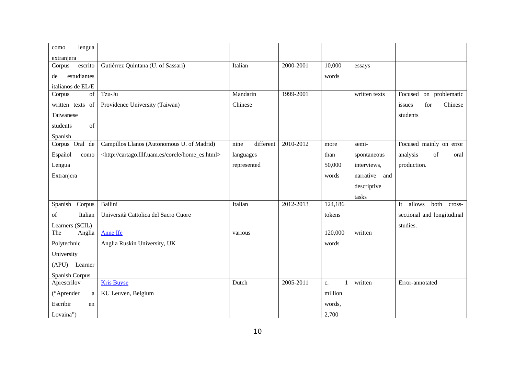| lengua<br>como    |                                                                  |                   |           |                    |               |                                |
|-------------------|------------------------------------------------------------------|-------------------|-----------|--------------------|---------------|--------------------------------|
| extranjera        |                                                                  |                   |           |                    |               |                                |
| escrito<br>Corpus | Gutiérrez Quintana (U. of Sassari)                               | Italian           | 2000-2001 | 10,000             | essays        |                                |
| estudiantes<br>de |                                                                  |                   |           | words              |               |                                |
| italianos de EL/E |                                                                  |                   |           |                    |               |                                |
| of<br>Corpus      | Tzu-Ju                                                           | Mandarin          | 1999-2001 |                    | written texts | on problematic<br>Focused      |
| written texts of  | Providence University (Taiwan)                                   | Chinese           |           |                    |               | for<br>Chinese<br>issues       |
| Taiwanese         |                                                                  |                   |           |                    |               | students                       |
| of<br>students    |                                                                  |                   |           |                    |               |                                |
| Spanish           |                                                                  |                   |           |                    |               |                                |
| Corpus Oral de    | Campillos Llanos (Autonomous U. of Madrid)                       | different<br>nine | 2010-2012 | more               | semi-         | Focused mainly on error        |
| Español<br>como   | <http: cartago.lllf.uam.es="" corele="" home_es.html=""></http:> | languages         |           | than               | spontaneous   | of<br>analysis<br>oral         |
| Lengua            |                                                                  | represented       |           | 50,000             | interviews,   | production.                    |
| Extranjera        |                                                                  |                   |           | words              | narrative and |                                |
|                   |                                                                  |                   |           |                    | descriptive   |                                |
|                   |                                                                  |                   |           |                    | tasks         |                                |
| Spanish<br>Corpus | Bailini                                                          | Italian           | 2012-2013 | 124,186            |               | allows<br>both<br>It<br>cross- |
| Italian<br>of     | Università Cattolica del Sacro Cuore                             |                   |           | tokens             |               | sectional and longitudinal     |
| Learners (SCIL)   |                                                                  |                   |           |                    |               | studies.                       |
| The<br>Anglia     | <b>Anne Ife</b>                                                  | various           |           | 120,000            | written       |                                |
| Polytechnic       | Anglia Ruskin University, UK                                     |                   |           | words              |               |                                |
| University        |                                                                  |                   |           |                    |               |                                |
| (APU) Learner     |                                                                  |                   |           |                    |               |                                |
| Spanish Corpus    |                                                                  |                   |           |                    |               |                                |
| Aprescrilov       | <b>Kris Buyse</b>                                                | Dutch             | 2005-2011 | $\mathbf{1}$<br>C. | written       | Error-annotated                |
| ("Aprender<br>a   | KU Leuven, Belgium                                               |                   |           | million            |               |                                |
| Escribir<br>en    |                                                                  |                   |           | words,             |               |                                |
| Lovaina")         |                                                                  |                   |           | 2,700              |               |                                |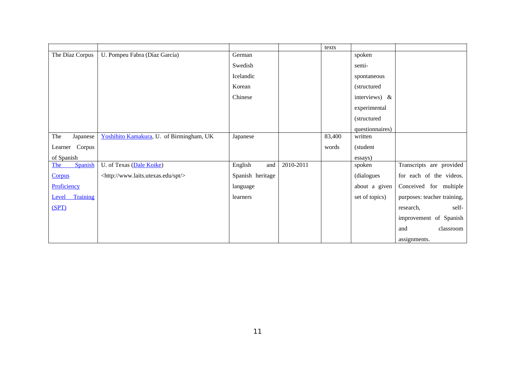|                              |                                                |                  |           | texts  |                 |                             |
|------------------------------|------------------------------------------------|------------------|-----------|--------|-----------------|-----------------------------|
|                              |                                                |                  |           |        |                 |                             |
| The Díaz Corpus              | U. Pompeu Fabra (Díaz García)                  | German           |           |        | spoken          |                             |
|                              |                                                | Swedish          |           |        | semi-           |                             |
|                              |                                                | Icelandic        |           |        | spontaneous     |                             |
|                              |                                                | Korean           |           |        | (structured     |                             |
|                              |                                                | Chinese          |           |        | interviews) &   |                             |
|                              |                                                |                  |           |        | experimental    |                             |
|                              |                                                |                  |           |        | (structured     |                             |
|                              |                                                |                  |           |        | questionnaires) |                             |
| The<br>Japanese              | Yoshihito Kamakura, U. of Birmingham, UK       | Japanese         |           | 83,400 | written         |                             |
| Learner Corpus               |                                                |                  |           | words  | (student        |                             |
| of Spanish                   |                                                |                  |           |        | essays)         |                             |
| <b>Spanish</b><br><b>The</b> | U. of Texas (Dale Koike)                       | English<br>and   | 2010-2011 |        | spoken          | Transcripts are provided    |
| Corpus                       | <http: spt="" www.laits.utexas.edu=""></http:> | Spanish heritage |           |        | (dialogues      | for each of the videos.     |
| Proficiency                  |                                                | language         |           |        | about a given   | Conceived for multiple      |
| Training<br><u>Level</u>     |                                                | learners         |           |        | set of topics)  | purposes: teacher training, |
| (SPT)                        |                                                |                  |           |        |                 | self-<br>research,          |
|                              |                                                |                  |           |        |                 | improvement of Spanish      |
|                              |                                                |                  |           |        |                 | classroom<br>and            |
|                              |                                                |                  |           |        |                 | assignments.                |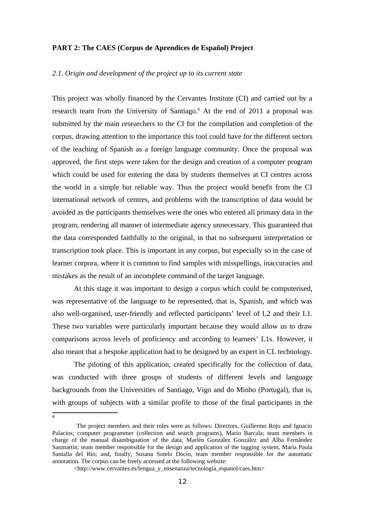#### **PART 2: The CAES (Corpus de Aprendices de Español) Project**

#### *2.1. Origin and development of the project up to its current state*

This project was wholly financed by the Cervantes Institute (CI) and carried out by a research team from the University of Santiago.<sup>[6](#page-11-0)</sup> At the end of 2011 a proposal was submitted by the main researchers to the CI for the compilation and completion of the corpus, drawing attention to the importance this tool could have for the different sectors of the teaching of Spanish as a foreign language community. Once the proposal was approved, the first steps were taken for the design and creation of a computer program which could be used for entering the data by students themselves at CI centres across the world in a simple but reliable way. Thus the project would benefit from the CI international network of centres, and problems with the transcription of data would be avoided as the participants themselves were the ones who entered all primary data in the program, rendering all manner of intermediate agency unnecessary. This guaranteed that the data corresponded faithfully to the original, in that no subsequent interpretation or transcription took place. This is important in any corpus, but especially so in the case of learner corpora, where it is common to find samples with misspellings, inaccuracies and mistakes as the result of an incomplete command of the target language.

At this stage it was important to design a corpus which could be computerised, was representative of the language to be represented, that is, Spanish, and which was also well-organised, user-friendly and reflected participants' level of L2 and their L1. These two variables were particularly important because they would allow us to draw comparisons across levels of proficiency and according to learners' L1s. However, it also meant that a bespoke application had to be designed by an expert in CL technology.

The piloting of this application, created specifically for the collection of data, was conducted with three groups of students of different levels and language backgrounds from the Universities of Santiago, Vigo and do Minho (Portugal), that is, with groups of subjects with a similar profile to those of the final participants in the

<span id="page-11-0"></span><sup>6</sup>

The project members and their roles were as follows: Directors, Guillermo Rojo and Ignacio Palacios; computer programmer (collection and search programs), Mario Barcala; team members in charge of the manual disambiguation of the data, Marlén González González and Alba Fernández Sanmartín; team member responsible for the design and application of the tagging system, María Paula Santalla del Río; and, finally, Susana Sotelo Docío, team member responsible for the automatic annotation. The corpus can be freely accessed at the following website:

<sup>&</sup>lt;http://www.cervantes.es/lengua\_y\_ensenanza/tecnologia\_espanol/caes.htm>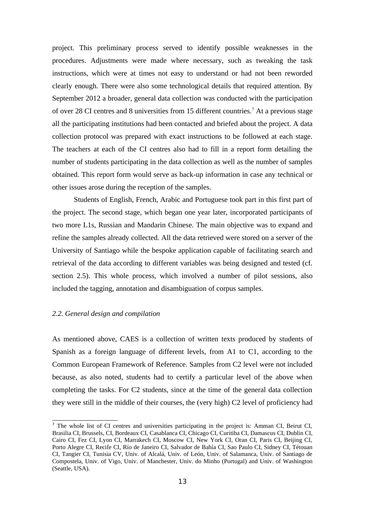project. This preliminary process served to identify possible weaknesses in the procedures. Adjustments were made where necessary, such as tweaking the task instructions, which were at times not easy to understand or had not been reworded clearly enough. There were also some technological details that required attention. By September 2012 a broader, general data collection was conducted with the participation of over 28 CI centres and 8 universities from 15 different countries.<sup>[7](#page-12-0)</sup> At a previous stage all the participating institutions had been contacted and briefed about the project. A data collection protocol was prepared with exact instructions to be followed at each stage. The teachers at each of the CI centres also had to fill in a report form detailing the number of students participating in the data collection as well as the number of samples obtained. This report form would serve as back-up information in case any technical or other issues arose during the reception of the samples.

Students of English, French, Arabic and Portuguese took part in this first part of the project. The second stage, which began one year later, incorporated participants of two more L1s, Russian and Mandarin Chinese. The main objective was to expand and refine the samples already collected. All the data retrieved were stored on a server of the University of Santiago while the bespoke application capable of facilitating search and retrieval of the data according to different variables was being designed and tested (cf. section 2.5). This whole process, which involved a number of pilot sessions, also included the tagging, annotation and disambiguation of corpus samples.

#### *2.2. General design and compilation*

As mentioned above, CAES is a collection of written texts produced by students of Spanish as a foreign language of different levels, from A1 to C1, according to the Common European Framework of Reference. Samples from C2 level were not included because, as also noted, students had to certify a particular level of the above when completing the tasks. For C2 students, since at the time of the general data collection they were still in the middle of their courses, the (very high) C2 level of proficiency had

<span id="page-12-0"></span><sup>&</sup>lt;sup>7</sup> The whole list of CI centres and universities participating in the project is: Amman CI, Beirut CI, Brasilia CI, Brussels, CI, Bordeaux CI, Casablanca CI, Chicago CI, Curitiba CI, Damascus CI, Dublin CI, Cairo CI, Fez CI, Lyon CI, Marrakech CI, Moscow CI, New York CI, Oran CI, Paris CI, Beijing CI, Porto Alegre CI, Recife CI, Río de Janeiro CI, Salvador de Bahía CI, Sao Paulo CI, Sidney CI, Tétouan CI, Tangier CI, Tunisia CV, Univ. of Alcalá, Univ. of León, Univ. of Salamanca, Univ. of Santiago de Compostela, Univ. of Vigo, Univ. of Manchester, Univ. do Minho (Portugal) and Univ. of Washington (Seattle, USA).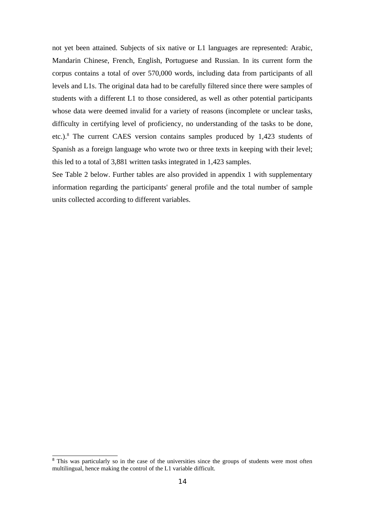not yet been attained. Subjects of six native or L1 languages are represented: Arabic, Mandarin Chinese, French, English, Portuguese and Russian. In its current form the corpus contains a total of over 570,000 words, including data from participants of all levels and L1s. The original data had to be carefully filtered since there were samples of students with a different L1 to those considered, as well as other potential participants whose data were deemed invalid for a variety of reasons (incomplete or unclear tasks, difficulty in certifying level of proficiency, no understanding of the tasks to be done, etc.). $8$  The current CAES version contains samples produced by 1,423 students of Spanish as a foreign language who wrote two or three texts in keeping with their level; this led to a total of 3,881 written tasks integrated in 1,423 samples.

See Table 2 below. Further tables are also provided in appendix 1 with supplementary information regarding the participants' general profile and the total number of sample units collected according to different variables.

<span id="page-13-0"></span><sup>&</sup>lt;sup>8</sup> This was particularly so in the case of the universities since the groups of students were most often multilingual, hence making the control of the L1 variable difficult.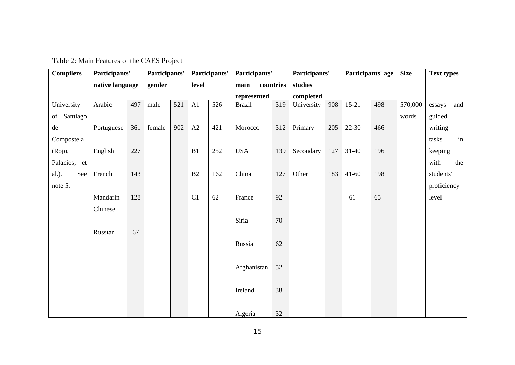| Table 2: Main Features of the CAES Project |  |
|--------------------------------------------|--|
|--------------------------------------------|--|

| <b>Compilers</b> | <b>Participants'</b> |     | Participants' |     |                | Participants' | Participants'<br><b>Participants'</b> |           |            |     | Participants' age |     | <b>Size</b> | <b>Text types</b> |     |  |  |
|------------------|----------------------|-----|---------------|-----|----------------|---------------|---------------------------------------|-----------|------------|-----|-------------------|-----|-------------|-------------------|-----|--|--|
|                  | native language      |     | gender        |     | level          |               | main                                  | countries | studies    |     |                   |     |             |                   |     |  |  |
|                  |                      |     |               |     |                |               | represented                           |           | completed  |     |                   |     |             |                   |     |  |  |
| University       | Arabic               | 497 | male          | 521 | A1             | 526           | <b>Brazil</b>                         | 319       | University | 908 | $15 - 21$         | 498 | 570,000     | essays            | and |  |  |
| of Santiago      |                      |     |               |     |                |               |                                       |           |            |     |                   |     | words       | guided            |     |  |  |
| de               | Portuguese           | 361 | female        | 902 | A2             | 421           | Morocco                               | 312       | Primary    | 205 | 22-30             | 466 |             | writing           |     |  |  |
| Compostela       |                      |     |               |     |                |               |                                       |           |            |     |                   |     |             | tasks             | in  |  |  |
| (Rojo,           | English              | 227 |               |     | B1             | 252           | <b>USA</b>                            | 139       | Secondary  | 127 | $31 - 40$         | 196 |             | keeping           |     |  |  |
| Palacios,<br>et  |                      |     |               |     |                |               |                                       |           |            |     |                   |     |             | with              | the |  |  |
| al.).<br>See     | French               | 143 |               |     | B <sub>2</sub> | 162           | China                                 | 127       | Other      | 183 | 41-60             | 198 |             | students'         |     |  |  |
| note 5.          |                      |     |               |     |                |               |                                       |           |            |     |                   |     |             | proficiency       |     |  |  |
|                  | Mandarin             | 128 |               |     | C <sub>1</sub> | 62            | France                                | 92        |            |     | $+61$             | 65  |             | level             |     |  |  |
|                  | Chinese              |     |               |     |                |               |                                       |           |            |     |                   |     |             |                   |     |  |  |
|                  |                      |     |               |     |                |               | Siria                                 | 70        |            |     |                   |     |             |                   |     |  |  |
|                  | Russian              | 67  |               |     |                |               |                                       |           |            |     |                   |     |             |                   |     |  |  |
|                  |                      |     |               |     |                |               | Russia                                | 62        |            |     |                   |     |             |                   |     |  |  |
|                  |                      |     |               |     |                |               |                                       |           |            |     |                   |     |             |                   |     |  |  |
|                  |                      |     |               |     |                |               | Afghanistan                           | 52        |            |     |                   |     |             |                   |     |  |  |
|                  |                      |     |               |     |                |               |                                       |           |            |     |                   |     |             |                   |     |  |  |
|                  |                      |     |               |     |                |               | Ireland                               | 38        |            |     |                   |     |             |                   |     |  |  |
|                  |                      |     |               |     |                |               |                                       |           |            |     |                   |     |             |                   |     |  |  |
|                  |                      |     |               |     |                |               | Algeria                               | 32        |            |     |                   |     |             |                   |     |  |  |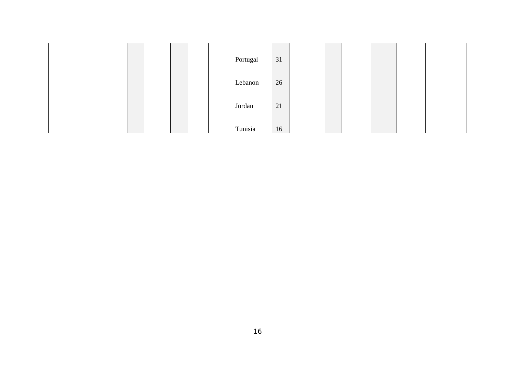|  |  |  | Portugal | 31 |  |  |  |
|--|--|--|----------|----|--|--|--|
|  |  |  | Lebanon  | 26 |  |  |  |
|  |  |  | Jordan   | 21 |  |  |  |
|  |  |  | Tunisia  | 16 |  |  |  |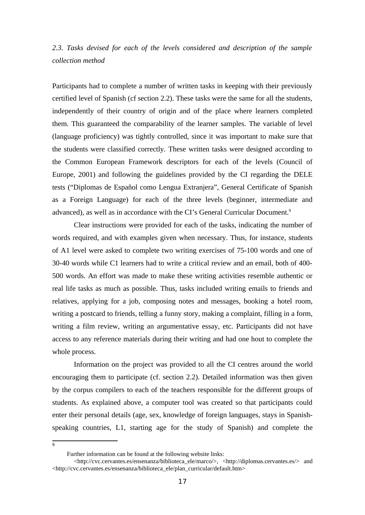# *2.3. Tasks devised for each of the levels considered and description of the sample collection method*

Participants had to complete a number of written tasks in keeping with their previously certified level of Spanish (cf section 2.2). These tasks were the same for all the students, independently of their country of origin and of the place where learners completed them. This guaranteed the comparability of the learner samples. The variable of level (language proficiency) was tightly controlled, since it was important to make sure that the students were classified correctly. These written tasks were designed according to the Common European Framework descriptors for each of the levels (Council of Europe, 2001) and following the guidelines provided by the CI regarding the DELE tests ("Diplomas de Español como Lengua Extranjera", General Certificate of Spanish as a Foreign Language) for each of the three levels (beginner, intermediate and advanced), as well as in accordance with the CI's General Curricular Document.<sup>[9](#page-16-0)</sup>

Clear instructions were provided for each of the tasks, indicating the number of words required, and with examples given when necessary. Thus, for instance, students of A1 level were asked to complete two writing exercises of 75-100 words and one of 30-40 words while C1 learners had to write a critical review and an email, both of 400- 500 words. An effort was made to make these writing activities resemble authentic or real life tasks as much as possible. Thus, tasks included writing emails to friends and relatives, applying for a job, composing notes and messages, booking a hotel room, writing a postcard to friends, telling a funny story, making a complaint, filling in a form, writing a film review, writing an argumentative essay, etc. Participants did not have access to any reference materials during their writing and had one hout to complete the whole process.

Information on the project was provided to all the CI centres around the world encouraging them to participate (cf. section 2.2). Detailed information was then given by the corpus compilers to each of the teachers responsible for the different groups of students. As explained above, a computer tool was created so that participants could enter their personal details (age, sex, knowledge of foreign languages, stays in Spanishspeaking countries, L1, starting age for the study of Spanish) and complete the

 $\alpha$ 

<span id="page-16-0"></span>Further information can be found at the following website links:

<sup>&</sup>lt;http://cvc.cervantes.es/ensenanza/biblioteca\_ele/marco/>, <http://diplomas.cervantes.es/> and <http://cvc.cervantes.es/ensenanza/biblioteca\_ele/plan\_curricular/default.htm>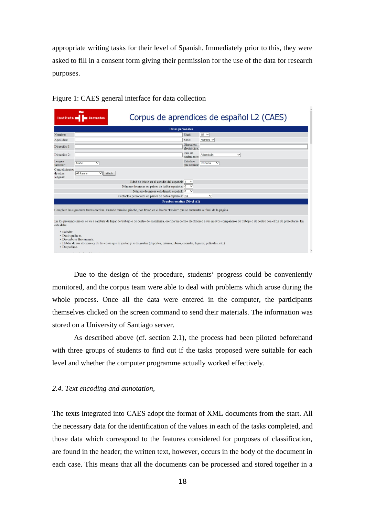appropriate writing tasks for their level of Spanish. Immediately prior to this, they were asked to fill in a consent form giving their permission for the use of the data for research purposes.

| Instituto m                                                                                                                                                                                                                | <b>Cervantes</b>                                                                                                                                                  | Corpus de aprendices de español L2 (CAES)            |  |  |  |  |  |  |
|----------------------------------------------------------------------------------------------------------------------------------------------------------------------------------------------------------------------------|-------------------------------------------------------------------------------------------------------------------------------------------------------------------|------------------------------------------------------|--|--|--|--|--|--|
|                                                                                                                                                                                                                            |                                                                                                                                                                   | <b>Datos personales</b>                              |  |  |  |  |  |  |
| Nombre:                                                                                                                                                                                                                    |                                                                                                                                                                   | $15 \times$<br>Edad:                                 |  |  |  |  |  |  |
| Apellidos:                                                                                                                                                                                                                 |                                                                                                                                                                   | Hombre V<br>Sexo:                                    |  |  |  |  |  |  |
| Dirección 1                                                                                                                                                                                                                |                                                                                                                                                                   | Dirección<br>electrónica:                            |  |  |  |  |  |  |
| Dirección 2:                                                                                                                                                                                                               |                                                                                                                                                                   | País de<br>$\checkmark$<br>Afganistán<br>nacimiento: |  |  |  |  |  |  |
| Lengua<br>familiar:                                                                                                                                                                                                        | Arabe<br>$\check{~}$                                                                                                                                              | Estudios<br>Primaria<br>$\checkmark$<br>que realiza: |  |  |  |  |  |  |
| Conocimientos<br>de otras<br>lenguas:                                                                                                                                                                                      | Afrikaans<br>$\vee$<br>añadir                                                                                                                                     |                                                      |  |  |  |  |  |  |
|                                                                                                                                                                                                                            | Edad de inicio en el estudio del español: 1                                                                                                                       | $\checkmark$                                         |  |  |  |  |  |  |
|                                                                                                                                                                                                                            | Número de meses en países de habla española: 0                                                                                                                    | $\checkmark$                                         |  |  |  |  |  |  |
|                                                                                                                                                                                                                            | Número de meses estudiando español: 0                                                                                                                             | $\checkmark$                                         |  |  |  |  |  |  |
|                                                                                                                                                                                                                            | Contactos personales en países de habla española: No                                                                                                              | $\checkmark$                                         |  |  |  |  |  |  |
|                                                                                                                                                                                                                            |                                                                                                                                                                   | Pruebas escritas (Nivel A1)                          |  |  |  |  |  |  |
|                                                                                                                                                                                                                            | Complete las siguientes tareas escritas. Cuando termine, pinche, por favor, en el botón "Enviar" que se encuentra al final de la página.                          |                                                      |  |  |  |  |  |  |
| En los próximos meses se va a cambiar de lugar de trabajo o de centro de enseñanza, escriba un correo electrónico a sus nuevos compañeros de trabajo o de centro con el fin de presentarse. En<br>este debe:<br>· Saludar. |                                                                                                                                                                   |                                                      |  |  |  |  |  |  |
| · Decir quién es.<br>• Despedirse.                                                                                                                                                                                         | · Describirse fisicamente.<br>· Hablar de sus aficiones y de las cosas que le gustan y le disgustan (deportes, música, libros, comidas, lugares, películas, etc.) |                                                      |  |  |  |  |  |  |
|                                                                                                                                                                                                                            |                                                                                                                                                                   |                                                      |  |  |  |  |  |  |

#### Figure 1: CAES general interface for data collection

Due to the design of the procedure, students' progress could be conveniently monitored, and the corpus team were able to deal with problems which arose during the whole process. Once all the data were entered in the computer, the participants themselves clicked on the screen command to send their materials. The information was stored on a University of Santiago server.

As described above (cf. section 2.1), the process had been piloted beforehand with three groups of students to find out if the tasks proposed were suitable for each level and whether the computer programme actually worked effectively.

#### *2.4. Text encoding and annotation,*

The texts integrated into CAES adopt the format of XML documents from the start. All the necessary data for the identification of the values in each of the tasks completed, and those data which correspond to the features considered for purposes of classification, are found in the header; the written text, however, occurs in the body of the document in each case. This means that all the documents can be processed and stored together in a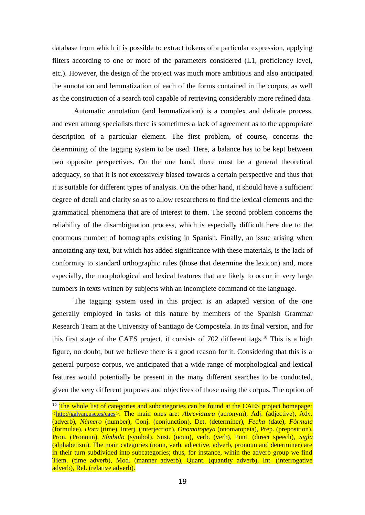database from which it is possible to extract tokens of a particular expression, applying filters according to one or more of the parameters considered (L1, proficiency level, etc.). However, the design of the project was much more ambitious and also anticipated the annotation and lemmatization of each of the forms contained in the corpus, as well as the construction of a search tool capable of retrieving considerably more refined data.

Automatic annotation (and lemmatization) is a complex and delicate process, and even among specialists there is sometimes a lack of agreement as to the appropriate description of a particular element. The first problem, of course, concerns the determining of the tagging system to be used. Here, a balance has to be kept between two opposite perspectives. On the one hand, there must be a general theoretical adequacy, so that it is not excessively biased towards a certain perspective and thus that it is suitable for different types of analysis. On the other hand, it should have a sufficient degree of detail and clarity so as to allow researchers to find the lexical elements and the grammatical phenomena that are of interest to them. The second problem concerns the reliability of the disambiguation process, which is especially difficult here due to the enormous number of homographs existing in Spanish. Finally, an issue arising when annotating any text, but which has added significance with these materials, is the lack of conformity to standard orthographic rules (those that determine the lexicon) and, more especially, the morphological and lexical features that are likely to occur in very large numbers in texts written by subjects with an incomplete command of the language.

The tagging system used in this project is an adapted version of the one generally employed in tasks of this nature by members of the Spanish Grammar Research Team at the University of Santiago de Compostela. In its final version, and for this first stage of the CAES project, it consists of 702 different tags.<sup>[10](#page-18-0)</sup> This is a high figure, no doubt, but we believe there is a good reason for it. Considering that this is a general purpose corpus, we anticipated that a wide range of morphological and lexical features would potentially be present in the many different searches to be conducted, given the very different purposes and objectives of those using the corpus. The option of

<span id="page-18-0"></span><sup>&</sup>lt;sup>10</sup> The whole list of categories and subcategories can be found at the CAES project homepage: <[http://galvan.usc.es/caes>](http://galvan.usc.es/caes). The main ones are: *Abreviatura* (acronym), Adj. (adjective), Adv. (adverb), *Número* (number), Conj. (conjunction), Det. (determiner), *Fecha* (date), *Fórmula* (formulae), *Hora* (time), Interj. (interjection), *Onomatopeya* (onomatopeia), Prep. (preposition), Pron. (Pronoun), *Símbolo* (symbol), Sust. (noun), verb. (verb), Punt. (direct speech), *Sigla* (alphabetism). The main categories (noun, verb, adjective, adverb, pronoun and determiner) are in their turn subdivided into subcategories; thus, for instance, wihin the adverb group we find Tiem. (time adverb), Mod. (manner adverb), Quant. (quantity adverb), Int. (interrogative adverb), Rel. (relative adverb).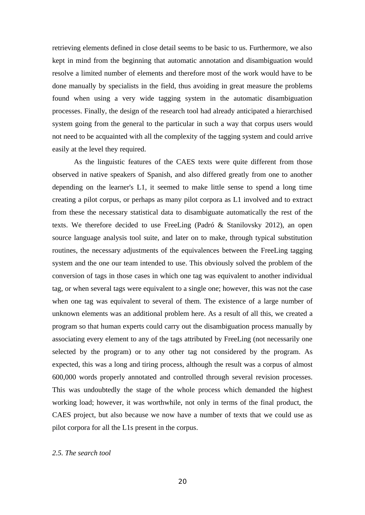retrieving elements defined in close detail seems to be basic to us. Furthermore, we also kept in mind from the beginning that automatic annotation and disambiguation would resolve a limited number of elements and therefore most of the work would have to be done manually by specialists in the field, thus avoiding in great measure the problems found when using a very wide tagging system in the automatic disambiguation processes. Finally, the design of the research tool had already anticipated a hierarchised system going from the general to the particular in such a way that corpus users would not need to be acquainted with all the complexity of the tagging system and could arrive easily at the level they required.

As the linguistic features of the CAES texts were quite different from those observed in native speakers of Spanish, and also differed greatly from one to another depending on the learner's L1, it seemed to make little sense to spend a long time creating a pilot corpus, or perhaps as many pilot corpora as L1 involved and to extract from these the necessary statistical data to disambiguate automatically the rest of the texts. We therefore decided to use FreeLing (Padró & Stanilovsky 2012), an open source language analysis tool suite, and later on to make, through typical substitution routines, the necessary adjustments of the equivalences between the FreeLing tagging system and the one our team intended to use. This obviously solved the problem of the conversion of tags in those cases in which one tag was equivalent to another individual tag, or when several tags were equivalent to a single one; however, this was not the case when one tag was equivalent to several of them. The existence of a large number of unknown elements was an additional problem here. As a result of all this, we created a program so that human experts could carry out the disambiguation process manually by associating every element to any of the tags attributed by FreeLing (not necessarily one selected by the program) or to any other tag not considered by the program. As expected, this was a long and tiring process, although the result was a corpus of almost 600,000 words properly annotated and controlled through several revision processes. This was undoubtedly the stage of the whole process which demanded the highest working load; however, it was worthwhile, not only in terms of the final product, the CAES project, but also because we now have a number of texts that we could use as pilot corpora for all the L1s present in the corpus.

#### *2.5. The search tool*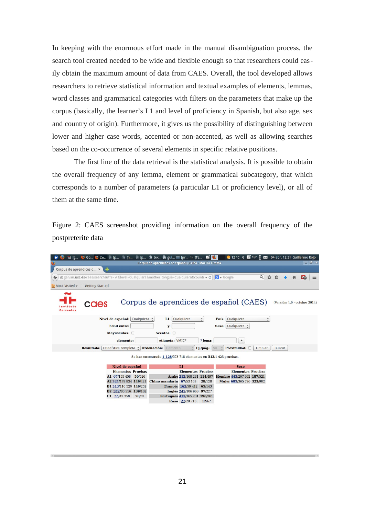In keeping with the enormous effort made in the manual disambiguation process, the search tool created needed to be wide and flexible enough so that researchers could easily obtain the maximum amount of data from CAES. Overall, the tool developed allows researchers to retrieve statistical information and textual examples of elements, lemmas, word classes and grammatical categories with filters on the parameters that make up the corpus (basically, the learner's L1 and level of proficiency in Spanish, but also age, sex and country of origin). Furthermore, it gives us the possibility of distinguishing between lower and higher case words, accented or non-accented, as well as allowing searches based on the co-occurrence of several elements in specific relative positions.

The first line of the data retrieval is the statistical analysis. It is possible to obtain the overall frequency of any lemma, element or grammatical subcategory, that which corresponds to a number of parameters (a particular L1 or proficiency level), or all of them at the same time.

Figure 2: CAES screenshot providing information on the overall frequency of the postpreterite data

|           |                                |                                                                                               |       | <b>p [g ♥ Go ♥ Co</b> ? [p ? [n ? [p ? [ex ? gui ] [pr E [Te                                |                              | $\circ$<br>L            |                                                                                                                      |                  |                               |       |                     |
|-----------|--------------------------------|-----------------------------------------------------------------------------------------------|-------|---------------------------------------------------------------------------------------------|------------------------------|-------------------------|----------------------------------------------------------------------------------------------------------------------|------------------|-------------------------------|-------|---------------------|
| U         |                                |                                                                                               |       | Corpus de aprendices de español (CAES) - Mozilla Firefox                                    |                              |                         |                                                                                                                      |                  |                               |       | $=$ $\Box$ $\times$ |
|           | Corpus de aprendices d *<br>÷  |                                                                                               |       |                                                                                             |                              |                         |                                                                                                                      |                  |                               |       |                     |
| €         |                                |                                                                                               |       | ) @ galvan.usc.es/caes/search?utf8= √ &level=Cualquiera&mother_tongue=Cualquiera&counti v @ |                              |                         | $8 \times$ Google                                                                                                    | $\alpha$<br>☆    | 自                             | $y_2$ | $\equiv$            |
|           | Most Visited v Getting Started |                                                                                               |       |                                                                                             |                              |                         |                                                                                                                      |                  |                               |       |                     |
| Cervantes | caes                           | Nivel de español: Cualquiera <sup>+</sup><br><b>Edad entre:</b><br>Mayúsculas: 0<br>elemento: |       | L1: Cualquiera<br>y:<br>Acentos: 0<br>etiqueta: VMIC*                                       |                              | $\hat{\div}$<br>? lema: | Corpus de aprendices de español (CAES)<br>País: Cualquiera<br>Sexo: Cualquiera :<br>$\begin{array}{c} + \end{array}$ | $\blacktriangle$ | (Versión: 1.0 - octubre 2014) |       |                     |
|           |                                |                                                                                               |       | Resultado: Estadística completa 1 Ordenación: Elemento                                      |                              | Ej./pág.: 50            | Proximidad: 0                                                                                                        | Limpiar          | <b>Buscar</b>                 |       |                     |
|           |                                | <b>Nivel de español</b>                                                                       |       | Se han encontrado 1 128/573 718 elementos en 512/1 423 pruebas.                             | L1                           |                         | <b>Sexo</b>                                                                                                          |                  |                               |       |                     |
|           |                                | <b>Elementos Pruebas</b>                                                                      |       |                                                                                             | <b>Elementos Pruebas</b>     |                         | <b>Elementos Pruebas</b>                                                                                             |                  |                               |       |                     |
|           |                                | A1 67/155 458 50/526                                                                          |       |                                                                                             | Árabe 212/168 231 114/497    |                         | Hombre 443/207 992 187/521                                                                                           |                  |                               |       |                     |
|           |                                | A2 321/178 834 149/421                                                                        |       | Chino mandarín 67/53 163                                                                    |                              | 28/128                  | Mujer 685/365 726 325/902                                                                                            |                  |                               |       |                     |
|           |                                | B1 313/116 520 146/252                                                                        |       |                                                                                             | <b>Francés</b> 162/59 412    | 65/143                  |                                                                                                                      |                  |                               |       |                     |
|           |                                | B2 372/80 556 139/162                                                                         |       |                                                                                             | Inglés 245/106 968 97/227    |                         |                                                                                                                      |                  |                               |       |                     |
|           |                                | C1 55/42 350                                                                                  | 28/62 |                                                                                             | <b>Portugués 415/165 231</b> | 196/361                 |                                                                                                                      |                  |                               |       |                     |
|           |                                |                                                                                               |       |                                                                                             | Ruso 27/20 713               | 12/67                   |                                                                                                                      |                  |                               |       |                     |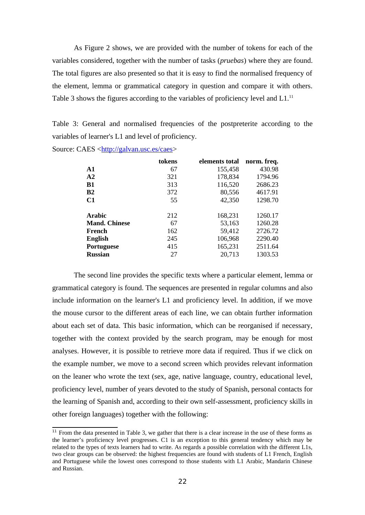As Figure 2 shows, we are provided with the number of tokens for each of the variables considered, together with the number of tasks (*pruebas*) where they are found. The total figures are also presented so that it is easy to find the normalised frequency of the element, lemma or grammatical category in question and compare it with others. Table 3 shows the figures according to the variables of proficiency level and  $L1$ .<sup>[11](#page-21-0)</sup>

Table 3: General and normalised frequencies of the postpreterite according to the variables of learner's L1 and level of proficiency.

Source: CAES [<http://galvan.usc.es/caes>](http://galvan.usc.es/caes)

|                      | tokens | elements total | norm. freq. |
|----------------------|--------|----------------|-------------|
| A <sub>1</sub>       | 67     | 155,458        | 430.98      |
| A <sub>2</sub>       | 321    | 178,834        | 1794.96     |
| B1                   | 313    | 116,520        | 2686.23     |
| B <sub>2</sub>       | 372    | 80,556         | 4617.91     |
| C <sub>1</sub>       | 55     | 42,350         | 1298.70     |
|                      |        |                |             |
| <b>Arabic</b>        | 212    | 168,231        | 1260.17     |
| <b>Mand. Chinese</b> | 67     | 53,163         | 1260.28     |
| French               | 162    | 59,412         | 2726.72     |
| <b>English</b>       | 245    | 106,968        | 2290.40     |
| <b>Portuguese</b>    | 415    | 165,231        | 2511.64     |
| <b>Russian</b>       | 27     | 20,713         | 1303.53     |
|                      |        |                |             |

The second line provides the specific texts where a particular element, lemma or grammatical category is found. The sequences are presented in regular columns and also include information on the learner's L1 and proficiency level. In addition, if we move the mouse cursor to the different areas of each line, we can obtain further information about each set of data. This basic information, which can be reorganised if necessary, together with the context provided by the search program, may be enough for most analyses. However, it is possible to retrieve more data if required. Thus if we click on the example number, we move to a second screen which provides relevant information on the leaner who wrote the text (sex, age, native language, country, educational level, proficiency level, number of years devoted to the study of Spanish, personal contacts for the learning of Spanish and, according to their own self-assessment, proficiency skills in other foreign languages) together with the following:

<span id="page-21-0"></span> $\frac{11}{11}$  From the data presented in Table 3, we gather that there is a clear increase in the use of these forms as the learner's proficiency level progresses. C1 is an exception to this general tendency which may be related to the types of texts learners had to write. As regards a possible correlation with the different L1s, two clear groups can be observed: the highest frequencies are found with students of L1 French, English and Portuguese while the lowest ones correspond to those students with L1 Arabic, Mandarin Chinese and Russian.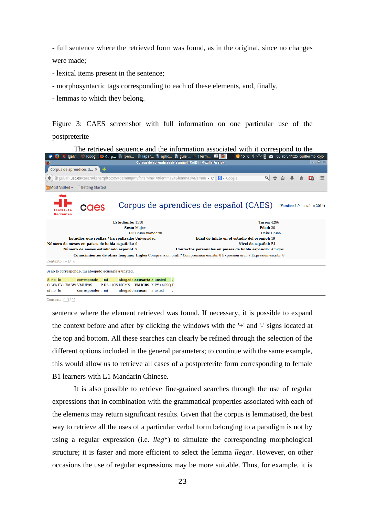- full sentence where the retrieved form was found, as in the original, since no changes were made;

- lexical items present in the sentence;

- morphosyntactic tags corresponding to each of these elements, and, finally,

- lemmas to which they belong.

Figure 3: CAES screenshot with full information on one particular use of the postpreterite



sentence where the element retrieved was found. If necessary, it is possible to expand the context before and after by clicking the windows with the '+' and '-' signs located at the top and bottom. All these searches can clearly be refined through the selection of the different options included in the general parameters; to continue with the same example, this would allow us to retrieve all cases of a postpreterite form corresponding to female B1 learners with L1 Mandarin Chinese.

It is also possible to retrieve fine-grained searches through the use of regular expressions that in combination with the grammatical properties associated with each of the elements may return significant results. Given that the corpus is lemmatised, the best way to retrieve all the uses of a particular verbal form belonging to a paradigm is not by using a regular expression (i.e. *lleg*\*) to simulate the corresponding morphological structure; it is faster and more efficient to select the lemma *llegar*. However, on other occasions the use of regular expressions may be more suitable. Thus, for example, it is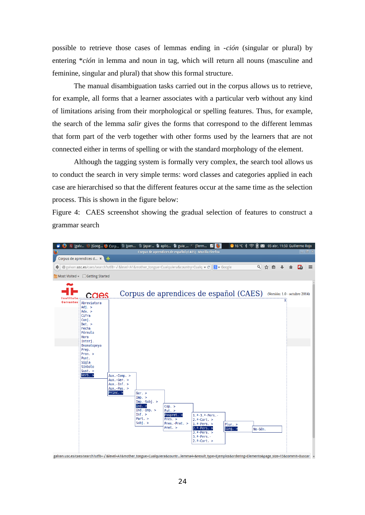possible to retrieve those cases of lemmas ending in -*ción* (singular or plural) by entering \**ción* in lemma and noun in tag, which will return all nouns (masculine and feminine, singular and plural) that show this formal structure.

The manual disambiguation tasks carried out in the corpus allows us to retrieve, for example, all forms that a learner associates with a particular verb without any kind of limitations arising from their morphological or spelling features. Thus, for example, the search of the lemma *salir* gives the forms that correspond to the different lemmas that form part of the verb together with other forms used by the learners that are not connected either in terms of spelling or with the standard morphology of the element.

Although the tagging system is formally very complex, the search tool allows us to conduct the search in very simple terms: word classes and categories applied in each case are hierarchised so that the different features occur at the same time as the selection process. This is shown in the figure below:

Figure 4: CAES screenshot showing the gradual selection of features to construct a grammar search

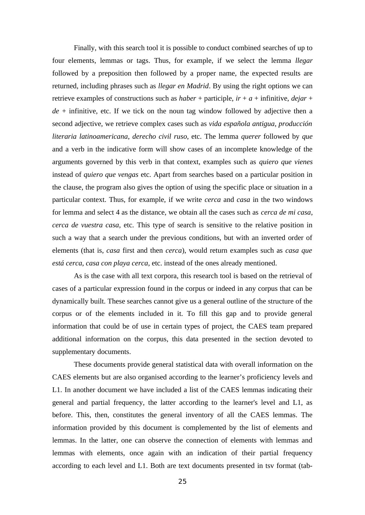Finally, with this search tool it is possible to conduct combined searches of up to four elements, lemmas or tags. Thus, for example, if we select the lemma *llegar* followed by a preposition then followed by a proper name, the expected results are returned, including phrases such as *llegar en Madrid*. By using the right options we can retrieve examples of constructions such as *haber* + participle, *ir* + *a* + infinitive, *dejar* + *de* + infinitive, etc. If we tick on the noun tag window followed by adjective then a second adjective, we retrieve complex cases such as *vida española antigua*, *producción literaria latinoamericana*, *derecho civil ruso*, etc. The lemma *querer* followed by *que* and a verb in the indicative form will show cases of an incomplete knowledge of the arguments governed by this verb in that context, examples such as *quiero que vienes* instead of *quiero que vengas* etc. Apart from searches based on a particular position in the clause, the program also gives the option of using the specific place or situation in a particular context. Thus, for example, if we write *cerca* and *casa* in the two windows for lemma and select 4 as the distance, we obtain all the cases such as *cerca de mi casa*, *cerca de vuestra casa*, etc. This type of search is sensitive to the relative position in such a way that a search under the previous conditions, but with an inverted order of elements (that is, *casa* first and then *cerca*), would return examples such as *casa que está cerca*, *casa con playa cerca*, etc. instead of the ones already mentioned.

As is the case with all text corpora, this research tool is based on the retrieval of cases of a particular expression found in the corpus or indeed in any corpus that can be dynamically built. These searches cannot give us a general outline of the structure of the corpus or of the elements included in it. To fill this gap and to provide general information that could be of use in certain types of project, the CAES team prepared additional information on the corpus, this data presented in the section devoted to supplementary documents.

These documents provide general statistical data with overall information on the CAES elements but are also organised according to the learner's proficiency levels and L1. In another document we have included a list of the CAES lemmas indicating their general and partial frequency, the latter according to the learner's level and L1, as before. This, then, constitutes the general inventory of all the CAES lemmas. The information provided by this document is complemented by the list of elements and lemmas. In the latter, one can observe the connection of elements with lemmas and lemmas with elements, once again with an indication of their partial frequency according to each level and L1. Both are text documents presented in tsv format (tab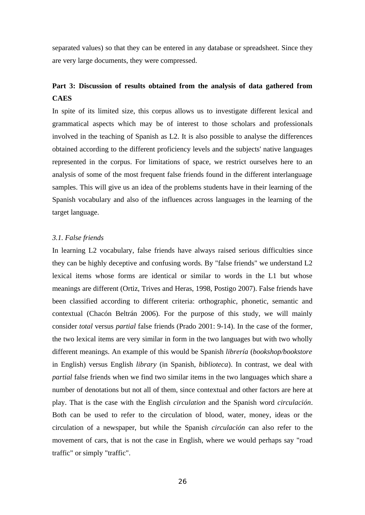separated values) so that they can be entered in any database or spreadsheet. Since they are very large documents, they were compressed.

## **Part 3: Discussion of results obtained from the analysis of data gathered from CAES**

In spite of its limited size, this corpus allows us to investigate different lexical and grammatical aspects which may be of interest to those scholars and professionals involved in the teaching of Spanish as L2. It is also possible to analyse the differences obtained according to the different proficiency levels and the subjects' native languages represented in the corpus. For limitations of space, we restrict ourselves here to an analysis of some of the most frequent false friends found in the different interlanguage samples. This will give us an idea of the problems students have in their learning of the Spanish vocabulary and also of the influences across languages in the learning of the target language.

#### *3.1. False friends*

In learning L2 vocabulary, false friends have always raised serious difficulties since they can be highly deceptive and confusing words. By "false friends" we understand L2 lexical items whose forms are identical or similar to words in the L1 but whose meanings are different (Ortiz, Trives and Heras, 1998, Postigo 2007). False friends have been classified according to different criteria: orthographic, phonetic, semantic and contextual (Chacón Beltrán 2006). For the purpose of this study, we will mainly consider *total* versus *partial* false friends (Prado 2001: 9-14). In the case of the former, the two lexical items are very similar in form in the two languages but with two wholly different meanings. An example of this would be Spanish *librería* (*bookshop/bookstore* in English) versus English *library* (in Spanish, *biblioteca*). In contrast, we deal with *partial* false friends when we find two similar items in the two languages which share a number of denotations but not all of them, since contextual and other factors are here at play. That is the case with the English *circulation* and the Spanish word *circulación*. Both can be used to refer to the circulation of blood, water, money, ideas or the circulation of a newspaper, but while the Spanish *circulación* can also refer to the movement of cars, that is not the case in English, where we would perhaps say "road traffic" or simply "traffic".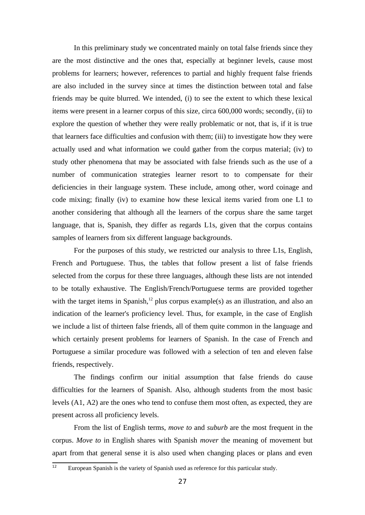In this preliminary study we concentrated mainly on total false friends since they are the most distinctive and the ones that, especially at beginner levels, cause most problems for learners; however, references to partial and highly frequent false friends are also included in the survey since at times the distinction between total and false friends may be quite blurred. We intended, (i) to see the extent to which these lexical items were present in a learner corpus of this size, circa 600,000 words; secondly, (ii) to explore the question of whether they were really problematic or not, that is, if it is true that learners face difficulties and confusion with them; (iii) to investigate how they were actually used and what information we could gather from the corpus material; (iv) to study other phenomena that may be associated with false friends such as the use of a number of communication strategies learner resort to to compensate for their deficiencies in their language system. These include, among other, word coinage and code mixing; finally (iv) to examine how these lexical items varied from one L1 to another considering that although all the learners of the corpus share the same target language, that is, Spanish, they differ as regards L1s, given that the corpus contains samples of learners from six different language backgrounds.

For the purposes of this study, we restricted our analysis to three L1s, English, French and Portuguese. Thus, the tables that follow present a list of false friends selected from the corpus for these three languages, although these lists are not intended to be totally exhaustive. The English/French/Portuguese terms are provided together with the target items in Spanish, $12$  plus corpus example(s) as an illustration, and also an indication of the learner's proficiency level. Thus, for example, in the case of English we include a list of thirteen false friends, all of them quite common in the language and which certainly present problems for learners of Spanish. In the case of French and Portuguese a similar procedure was followed with a selection of ten and eleven false friends, respectively.

The findings confirm our initial assumption that false friends do cause difficulties for the learners of Spanish. Also, although students from the most basic levels (A1, A2) are the ones who tend to confuse them most often, as expected, they are present across all proficiency levels.

From the list of English terms, *move to* and *suburb* are the most frequent in the corpus. *Move to* in English shares with Spanish *mover* the meaning of movement but apart from that general sense it is also used when changing places or plans and even

<span id="page-26-0"></span> $\overline{12}$  European Spanish is the variety of Spanish used as reference for this particular study.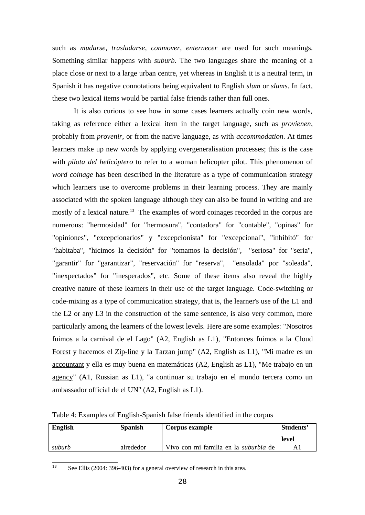such as *mudarse*, *trasladarse*, *conmover*, *enternecer* are used for such meanings. Something similar happens with *suburb*. The two languages share the meaning of a place close or next to a large urban centre, yet whereas in English it is a neutral term, in Spanish it has negative connotations being equivalent to English *slum* or *slums*. In fact, these two lexical items would be partial false friends rather than full ones.

It is also curious to see how in some cases learners actually coin new words, taking as reference either a lexical item in the target language, such as *provienen*, probably from *provenir*, or from the native language, as with *accommodation*. At times learners make up new words by applying overgeneralisation processes; this is the case with *pilota del helicóptero* to refer to a woman helicopter pilot. This phenomenon of *word coinage* has been described in the literature as a type of communication strategy which learners use to overcome problems in their learning process. They are mainly associated with the spoken language although they can also be found in writing and are mostly of a lexical nature.<sup>[13](#page-27-0)</sup> The examples of word coinages recorded in the corpus are numerous: "hermosidad" for "hermosura", "contadora" for "contable", "opinas" for "opiniones", "excepcionarios" y "excepcionista" for "excepcional", "inhibitó" for "habitaba", "hicimos la decisión" for "tomamos la decisión", "seriosa" for "seria", "garantir" for "garantizar", "reservación" for "reserva", "ensolada" por "soleada", "inexpectados" for "inesperados", etc. Some of these items also reveal the highly creative nature of these learners in their use of the target language. Code-switching or code-mixing as a type of communication strategy, that is, the learner's use of the L1 and the L2 or any L3 in the construction of the same sentence, is also very common, more particularly among the learners of the lowest levels. Here are some examples: "Nosotros fuimos a la carnival de el Lago" (A2, English as L1), "Entonces fuimos a la Cloud Forest y hacemos el Zip-line y la Tarzan jump" (A2, English as L1), "Mi madre es un accountant y ella es muy buena en matemáticas (A2, English as L1), "Me trabajo en un agency" (A1, Russian as L1), "a continuar su trabajo en el mundo tercera como un ambassador official de el UN" (A2, English as L1).

Table 4: Examples of English-Spanish false friends identified in the corpus

| <b>English</b> | <b>Spanish</b> | Corpus example                        | Students' |
|----------------|----------------|---------------------------------------|-----------|
|                |                |                                       | level     |
| suburb         | alrededor      | Vivo con mi familia en la suburbia de |           |

<span id="page-27-0"></span> $\frac{13}{13}$  See Ellis (2004: 396-403) for a general overview of research in this area.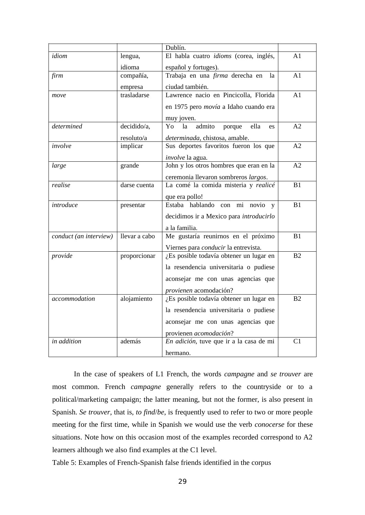|                        |               | Dublín.                                       |                |
|------------------------|---------------|-----------------------------------------------|----------------|
| idiom                  | lengua,       | El habla cuatro idioms (corea, inglés,        | A1             |
|                        | idioma        | español y fortuges).                          |                |
| firm                   | compañía,     | Trabaja en una <i>firma</i> derecha en<br>-la | A1             |
|                        | empresa       | ciudad también.                               |                |
| move                   | trasladarse   | Lawrence nacio en Pincicolla, Florida         | A1             |
|                        |               | en 1975 pero movía a Idaho cuando era         |                |
|                        |               | muy joven.                                    |                |
| determined             | decidido/a,   | Yo<br>la<br>admito<br>ella<br>porque<br>es    | A2             |
|                        | resoluto/a    | determinada, chistosa, amable.                |                |
| involve                | implicar      | Sus deportes favoritos fueron los que         | A2             |
|                        |               | involve la agua.                              |                |
| large                  | grande        | John y los otros hombres que eran en la       | A <sub>2</sub> |
|                        |               | ceremonia llevaron sombreros largos.          |                |
| realise                | darse cuenta  | La comé la comida misteria y realicé          | B1             |
|                        |               | que era pollo!                                |                |
| introduce              | presentar     | Estaba hablando con mi novio<br>V             | B1             |
|                        |               | decidimos ir a Mexico para introducirlo       |                |
|                        |               | a la familia.                                 |                |
| conduct (an interview) | llevar a cabo | Me gustaría reunirnos en el próximo           | B1             |
|                        |               | Viernes para conducir la entrevista.          |                |
| provide                | proporcionar  | ¿Es posible todavía obtener un lugar en       | B <sub>2</sub> |
|                        |               | la resendencia universitaria o pudiese        |                |
|                        |               | aconsejar me con unas agencias que            |                |
|                        |               | provienen acomodación?                        |                |
| accommodation          | alojamiento   | ¿Es posible todavía obtener un lugar en       | B <sub>2</sub> |
|                        |               | la resendencia universitaria o pudiese        |                |
|                        |               | aconsejar me con unas agencias que            |                |
|                        |               | provienen acomodación?                        |                |
| in addition            | además        | En adición, tuve que ir a la casa de mi       | C1             |
|                        |               | hermano.                                      |                |

In the case of speakers of L1 French, the words *campagne* and *se trouver* are most common. French *campagne* generally refers to the countryside or to a political/marketing campaign; the latter meaning, but not the former, is also present in Spanish. *Se trouver*, that is, *to find*/*be*, is frequently used to refer to two or more people meeting for the first time, while in Spanish we would use the verb *conocerse* for these situations. Note how on this occasion most of the examples recorded correspond to A2 learners although we also find examples at the C1 level.

Table 5: Examples of French-Spanish false friends identified in the corpus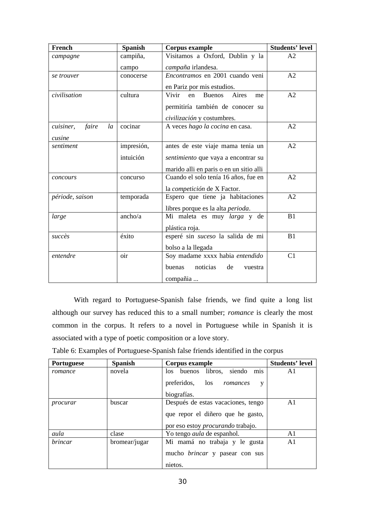| French                   | <b>Spanish</b> | Corpus example                                         | <b>Students' level</b> |
|--------------------------|----------------|--------------------------------------------------------|------------------------|
| campagne                 | campiña,       | Visitamos a Oxford, Dublin y la                        | A2                     |
|                          | campo          | campaña irlandesa.                                     |                        |
| se trouver               | conocerse      | Encontramos en 2001 cuando veni                        | A <sub>2</sub>         |
|                          |                | en Pariz por mis estudios.                             |                        |
| civilisation             | cultura        | Vivir<br><b>Buenos</b><br>Aires<br>en<br><sub>me</sub> | A <sub>2</sub>         |
|                          |                | permitiría también de conocer su                       |                        |
|                          |                | civilización y costumbres.                             |                        |
| faire<br>cuisiner,<br>la | cocinar        | A veces hago la cocina en casa.                        | A <sub>2</sub>         |
| cusine                   |                |                                                        |                        |
| sentiment                | impresión,     | antes de este viaje mama tenia un                      | A <sub>2</sub>         |
|                          | intuición      | sentimiento que vaya a encontrar su                    |                        |
|                          |                | marido alli en paris o en un sitio alli                |                        |
| concours                 | concurso       | Cuando el solo tenía 16 años, fue en                   | A2                     |
|                          |                | la competición de X Factor.                            |                        |
| période, saison          | temporada      | Espero que tiene ja habitaciones                       | A <sub>2</sub>         |
|                          |                | libres porque es la alta perioda.                      |                        |
| large                    | ancho/a        | Mi maleta es muy larga y de                            | B1                     |
|                          |                | plástica roja.                                         |                        |
| succès                   | éxito          | esperé sin suceso la salida de mi                      | B1                     |
|                          |                | bolso a la llegada                                     |                        |
| entendre                 | oir            | Soy madame xxxx habia entendido                        | C1                     |
|                          |                | noticias<br>buenas<br>de<br>vuestra                    |                        |
|                          |                | compañia                                               |                        |

With regard to Portuguese-Spanish false friends, we find quite a long list although our survey has reduced this to a small number; *romance* is clearly the most common in the corpus. It refers to a novel in Portuguese while in Spanish it is associated with a type of poetic composition or a love story.

Table 6: Examples of Portuguese-Spanish false friends identified in the corpus

| <b>Portuguese</b> | <b>Spanish</b> | Corpus example                                                         | Students' level |
|-------------------|----------------|------------------------------------------------------------------------|-----------------|
| romance           | novela         | los buenos libros, siendo<br>mis                                       | A <sub>1</sub>  |
|                   |                | preferidos, los romances<br>V                                          |                 |
|                   |                | biografías.                                                            |                 |
| procurar          | buscar         | Después de estas vacaciones, tengo                                     | A <sub>1</sub>  |
|                   |                | que repor el diñero que he gasto,<br>por eso estoy procurando trabajo. |                 |
| aula              | clase          | Yo tengo <i>aula</i> de espanhol.                                      | A <sub>1</sub>  |
| brincar           | bromear/jugar  | Mi mamá no trabaja y le gusta<br>mucho brincar y pasear con sus        | A <sub>1</sub>  |
|                   |                | nietos.                                                                |                 |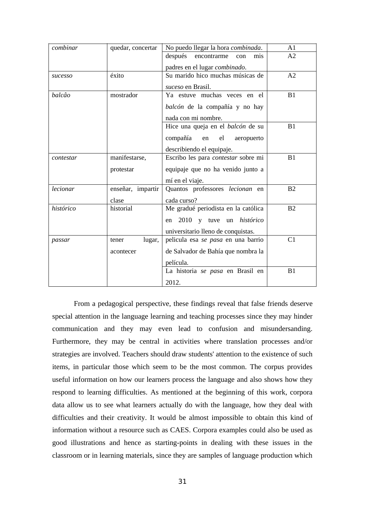| combinar  | quedar, concertar | No puedo llegar la hora combinada.   | A1             |
|-----------|-------------------|--------------------------------------|----------------|
|           |                   | después<br>encontrarme<br>con<br>mis | A <sub>2</sub> |
|           |                   | padres en el lugar combinado.        |                |
| sucesso   | éxito             | Su marido hico muchas músicas de     | A <sub>2</sub> |
|           |                   | suceso en Brasil.                    |                |
| balcâo    | mostrador         | Ya estuve muchas veces en el         | B1             |
|           |                   | balcón de la compañía y no hay       |                |
|           |                   | nada con mi nombre.                  |                |
|           |                   | Hice una queja en el balcón de su    | B1             |
|           |                   | compañía<br>el<br>en<br>aeropuerto   |                |
|           |                   | describiendo el equipaje.            |                |
| contestar | manifestarse,     | Escribo les para contestar sobre mi  | B1             |
|           | protestar         | equipaje que no ha venido junto a    |                |
|           |                   | mí en el viaje.                      |                |
| lecionar  | enseñar, impartir | Quantos professores lecionan en      | B <sub>2</sub> |
|           | clase             | cada curso?                          |                |
| histórico | historial         | Me gradué periodista en la católica  | B <sub>2</sub> |
|           |                   | y tuve un histórico<br>2010<br>en    |                |
|           |                   | universitario lleno de conquistas.   |                |
| passar    | lugar,<br>tener   | pelicula esa se pasa en una barrio   | C1             |
|           | acontecer         | de Salvador de Bahía que nombra la   |                |
|           |                   | película.                            |                |
|           |                   | La historia se pasa en Brasil en     | B1             |
|           |                   | 2012.                                |                |

From a pedagogical perspective, these findings reveal that false friends deserve special attention in the language learning and teaching processes since they may hinder communication and they may even lead to confusion and misundersanding. Furthermore, they may be central in activities where translation processes and/or strategies are involved. Teachers should draw students' attention to the existence of such items, in particular those which seem to be the most common. The corpus provides useful information on how our learners process the language and also shows how they respond to learning difficulties. As mentioned at the beginning of this work, corpora data allow us to see what learners actually do with the language, how they deal with difficulties and their creativity. It would be almost impossible to obtain this kind of information without a resource such as CAES. Corpora examples could also be used as good illustrations and hence as starting-points in dealing with these issues in the classroom or in learning materials, since they are samples of language production which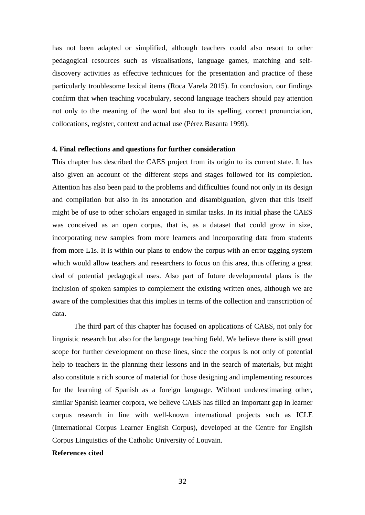has not been adapted or simplified, although teachers could also resort to other pedagogical resources such as visualisations, language games, matching and selfdiscovery activities as effective techniques for the presentation and practice of these particularly troublesome lexical items (Roca Varela 2015). In conclusion, our findings confirm that when teaching vocabulary, second language teachers should pay attention not only to the meaning of the word but also to its spelling, correct pronunciation, collocations, register, context and actual use (Pérez Basanta 1999).

#### **4. Final reflections and questions for further consideration**

This chapter has described the CAES project from its origin to its current state. It has also given an account of the different steps and stages followed for its completion. Attention has also been paid to the problems and difficulties found not only in its design and compilation but also in its annotation and disambiguation, given that this itself might be of use to other scholars engaged in similar tasks. In its initial phase the CAES was conceived as an open corpus, that is, as a dataset that could grow in size, incorporating new samples from more learners and incorporating data from students from more L1s. It is within our plans to endow the corpus with an error tagging system which would allow teachers and researchers to focus on this area, thus offering a great deal of potential pedagogical uses. Also part of future developmental plans is the inclusion of spoken samples to complement the existing written ones, although we are aware of the complexities that this implies in terms of the collection and transcription of data.

The third part of this chapter has focused on applications of CAES, not only for linguistic research but also for the language teaching field. We believe there is still great scope for further development on these lines, since the corpus is not only of potential help to teachers in the planning their lessons and in the search of materials, but might also constitute a rich source of material for those designing and implementing resources for the learning of Spanish as a foreign language. Without underestimating other, similar Spanish learner corpora, we believe CAES has filled an important gap in learner corpus research in line with well-known international projects such as ICLE (International Corpus Learner English Corpus), developed at the Centre for English Corpus Linguistics of the Catholic University of Louvain.

#### **References cited**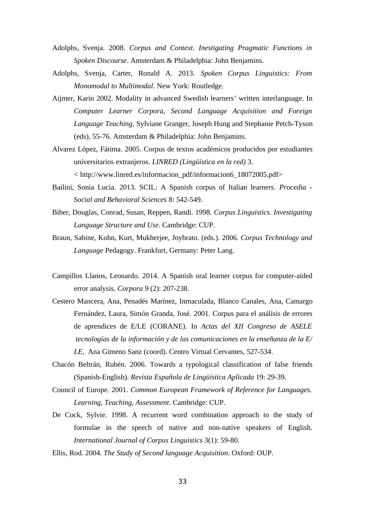- Adolphs, Svenja. 2008. *Corpus and Context. Inestigating Pragmatic Functions in Spoken Discourse*. Amsterdam & Philadelphia: John Benjamins.
- Adolphs, Svenja, Carter, Ronald A. 2013. *Spoken Corpus Linguistics: From Monomodal to Multimodal*. New York: Routledge.
- Aijmer, Karin 2002. Modality in advanced Swedish learners' written interlanguage. In *Computer Learner Corpora, Second Language Acquisition and Foreign Language Teaching,* Sylviane Granger, Joseph Hung and Stephanie Petch-Tyson (eds), 55-76. Amsterdam & Philadelphia: John Benjamins.
- Alvarez López, Fátima. 2005. Corpus de textos académicos producidos por estudiantes universitarios extranjeros. *LINRED (Lingüística en la red)* 3. < http://www.linred.es/informacion\_pdf/informacion6\_18072005.pdf>
- Bailini, Sonia Lucia. 2013. SCIL: A Spanish corpus of Italian learners. *Procedia - Social and Behavioral Sciences* 8: 542-549.
- Biber, Douglas, Conrad, Susan, Reppen, Randi. 1998. *Corpus Linguistics. Investigating Language Structure and Use*. Cambridge: CUP.
- Braun, Sabine, Kohn, Kurt, Mukherjee, Joybrato. (eds.). 2006. *Corpus Technology and Language* Pedagogy. Frankfurt, Germany: Peter Lang.
- Campillos Llanos, Leonardo. 2014. A Spanish oral learner corpus for computer-aided error analysis. *Corpora* 9 (2): 207-238.
- Cestero Mancera, Ana, Penadés Marínez, Inmaculada, Blanco Canales, Ana, Camargo Fernández, Laura, Simón Granda, José. 2001. Corpus para el análisis de errores de aprendices de E/LE (CORANE). In *Actas del XII Congreso de ASELE tecnologías de la información y de las comunicaciones en la enseñanza de la E/ LE*, Ana Gimeno Sanz (coord). Centro Virtual Cervantes, 527-534.
- Chacón Beltrán, Rubén. 2006. Towards a typological classification of false friends (Spanish-English). *Revista Española de Lingüística Aplicada* 19: 29-39.
- Council of Europe. 2001. *Common European Framework of Reference for Languages. Learning, Teaching, Assessment*. Cambridge: CUP.
- De Cock, Sylvie. 1998. A recurrent word combination approach to the study of formulae in the speech of native and non-native speakers of English. *International Journal of Corpus Linguistics* 3(1): 59-80.
- Ellis, Rod. 2004. *The Study of Second language Acquisition*. Oxford: OUP.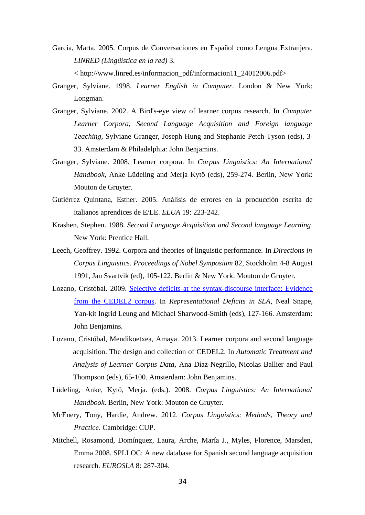García, Marta. 2005. Corpus de Conversaciones en Español como Lengua Extranjera. *LINRED (Lingüística en la red)* 3.

< http://www.linred.es/informacion\_pdf/informacion11\_24012006.pdf>

- Granger, Sylviane. 1998. *Learner English in Computer*. London & New York: Longman.
- Granger, Sylviane. 2002. A Bird's-eye view of learner corpus research. In *Computer Learner Corpora, Second Language Acquisition and Foreign language Teaching,* Sylviane Granger, Joseph Hung and Stephanie Petch-Tyson (eds), 3- 33. Amsterdam & Philadelphia: John Benjamins.
- Granger, Sylviane. 2008. Learner corpora. In *Corpus Linguistics: An International Handbook,* Anke Lüdeling and Merja Kytö (eds), 259-274. Berlin, New York: Mouton de Gruyter.
- Gutiérrez Quintana, Esther. 2005. Análisis de errores en la producción escrita de italianos aprendices de E/LE. *ELUA* 19: 223-242.
- Krashen, Stephen. 1988. *Second Language Acquisition and Second language Learning*. New York: Prentice Hall.
- Leech, Geoffrey. 1992. Corpora and theories of linguistic performance. In *Directions in Corpus Linguistics. Proceedings of Nobel Symposium* 82, Stockholm 4-8 August 1991, Jan Svartvik (ed), 105-122. Berlin & New York: Mouton de Gruyter.
- Lozano, Cristóbal. 2009. [Selective deficits at the syntax-discourse interface: Evidence](http://hdl.handle.net/10481/22165) [from the CEDEL2 corpus.](http://hdl.handle.net/10481/22165) In *Representational Deficits in SLA*, Neal Snape, Yan-kit Ingrid Leung and Michael Sharwood-Smith (eds), 127-166. Amsterdam: John Benjamins.
- Lozano, Cristóbal, Mendikoetxea, Amaya. 2013. Learner corpora and second language acquisition. The design and collection of CEDEL2. In *Automatic Treatment and Analysis of Learner Corpus Data,* Ana Díaz-Negrillo, Nicolas Ballier and Paul Thompson (eds), 65-100. Amsterdam: John Benjamins.
- Lüdeling, Anke, Kytö, Merja. (eds.). 2008. *Corpus Linguistics: An International Handbook*. Berlin, New York: Mouton de Gruyter.
- McEnery, Tony, Hardie, Andrew. 2012. *Corpus Linguistics: Methods, Theory and Practice*. Cambridge: CUP.
- Mitchell, Rosamond, Domínguez, Laura, Arche, María J., Myles, Florence, Marsden, Emma 2008. SPLLOC: A new database for Spanish second language acquisition research. *EUROSLA* 8: 287-304.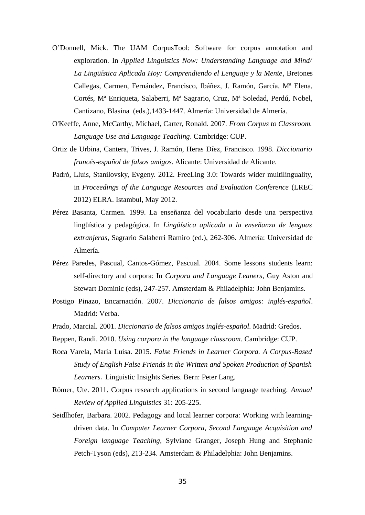- O'Donnell, Mick. The UAM CorpusTool: Software for corpus annotation and exploration. In *Applied Linguistics Now: Understanding Language and Mind/ La Lingüística Aplicada Hoy: Comprendiendo el Lenguaje y la Mente*, Bretones Callegas, Carmen, Fernández, Francisco, Ibáñez, J. Ramón, García, Mª Elena, Cortés, Mª Enriqueta, Salaberri, Mª Sagrario, Cruz, Mª Soledad, Perdú, Nobel, Cantizano, Blasina (eds.),1433-1447. Almería: Universidad de Almería.
- O'Keeffe, Anne, McCarthy, Michael, Carter, Ronald. 2007. *From Corpus to Classroom. Language Use and Language Teaching*. Cambridge: CUP.
- Ortiz de Urbina, Cantera, Trives, J. Ramón, Heras Díez, Francisco. 1998. *Diccionario francés-español de falsos amigos*. Alicante: Universidad de Alicante.
- Padró, Lluis, Stanilovsky, Evgeny. 2012. FreeLing 3.0: Towards wider multilinguality, in *Proceedings of the Language Resources and Evaluation Conference* (LREC 2012) ELRA. Istambul, May 2012.
- Pérez Basanta, Carmen. 1999. La enseñanza del vocabulario desde una perspectiva lingüística y pedagógica. In *Lingüística aplicada a la enseñanza de lenguas extranjeras*, Sagrario Salaberri Ramiro (ed.), 262-306. Almería: Universidad de Almería.
- Pérez Paredes, Pascual, Cantos-Gómez, Pascual. 2004. Some lessons students learn: self-directory and corpora: In *Corpora and Language Leaners*, Guy Aston and Stewart Dominic (eds), 247-257. Amsterdam & Philadelphia: John Benjamins.
- Postigo Pinazo, Encarnación. 2007. *Diccionario de falsos amigos: inglés-español*. Madrid: Verba.
- Prado, Marcial. 2001. *Diccionario de falsos amigos inglés-español*. Madrid: Gredos.
- Reppen, Randi. 2010. *Using corpora in the language classroom*. Cambridge: CUP.
- Roca Varela, María Luisa. 2015. *False Friends in Learner Corpora. A Corpus-Based Study of English False Friends in the Written and Spoken Production of Spanish Learners*. Linguistic Insights Series. Bern: Peter Lang.
- Römer, Ute. 2011. Corpus research applications in second language teaching. *Annual Review of Applied Linguistics* 31: 205-225.
- Seidlhofer, Barbara. 2002. Pedagogy and local learner corpora: Working with learningdriven data. In *Computer Learner Corpora, Second Language Acquisition and Foreign language Teaching,* Sylviane Granger, Joseph Hung and Stephanie Petch-Tyson (eds), 213-234. Amsterdam & Philadelphia: John Benjamins.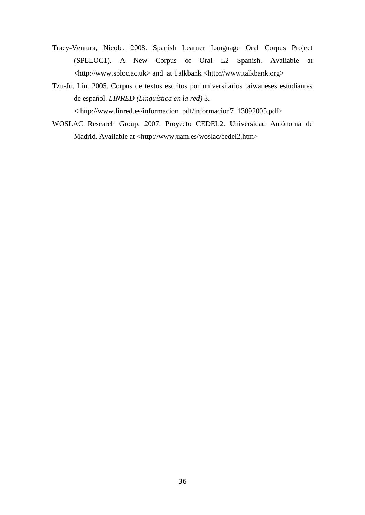- Tracy-Ventura, Nicole. 2008. Spanish Learner Language Oral Corpus Project (SPLLOC1). A New Corpus of Oral L2 Spanish. Avaliable at <http://www.sploc.ac.uk> and at Talkbank <http://www.talkbank.org>
- Tzu-Ju, Lin. 2005. Corpus de textos escritos por universitarios taiwaneses estudiantes de español. *LINRED (Lingüística en la red)* 3.

< http://www.linred.es/informacion\_pdf/informacion7\_13092005.pdf>

WOSLAC Research Group. 2007. Proyecto CEDEL2. Universidad Autónoma de Madrid. Available at <http://www.uam.es/woslac/cedel2.htm>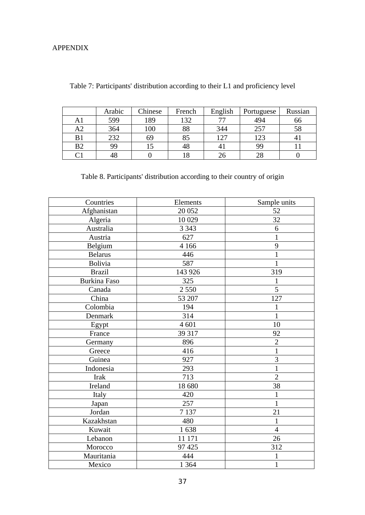|                | Arabic | Chinese | French | English | Portuguese | Russian |
|----------------|--------|---------|--------|---------|------------|---------|
| A1             | 599    | 189     | 132    | 77      | 494        | 66      |
| A2             | 364    | 100     | 88     | 344     | 257        | 58      |
| B1             | 232    | 69      | 85     | 127     | 123        |         |
| B <sub>2</sub> | 99     | 15      | 48     |         | 99         |         |
| Ր1             |        |         | 18     | 26      | 28         |         |

| Table 7: Participants' distribution according to their L1 and proficiency level |  |  |  |  |  |
|---------------------------------------------------------------------------------|--|--|--|--|--|
|---------------------------------------------------------------------------------|--|--|--|--|--|

Table 8. Participants' distribution according to their country of origin

| Countries           | Elements | Sample units   |
|---------------------|----------|----------------|
| Afghanistan         | 20 052   | 52             |
| Algeria             | 10 0 29  | 32             |
| Australia           | 3 3 4 3  | 6              |
| Austria             | 627      | $\overline{1}$ |
| Belgium             | 4 1 6 6  | 9              |
| <b>Belarus</b>      | 446      | $\mathbf{1}$   |
| <b>Bolivia</b>      | 587      | $\overline{1}$ |
| <b>Brazil</b>       | 143 926  | 319            |
| <b>Burkina Faso</b> | 325      | $\mathbf{1}$   |
| Canada              | 2 5 5 0  | 5              |
| China               | 53 207   | 127            |
| Colombia            | 194      | $\mathbf{1}$   |
| Denmark             | 314      | $\mathbf{1}$   |
| Egypt               | 4601     | 10             |
| France              | 39 317   | 92             |
| Germany             | 896      | $\overline{2}$ |
| Greece              | 416      | $\overline{1}$ |
| Guinea              | 927      | 3              |
| Indonesia           | 293      | $\mathbf{1}$   |
| <b>Irak</b>         | 713      | $\overline{2}$ |
| Ireland             | 18 680   | 38             |
| Italy               | 420      | $\mathbf{1}$   |
| Japan               | 257      | $\overline{1}$ |
| Jordan              | 7 1 3 7  | 21             |
| Kazakhstan          | 480      | $\mathbf{1}$   |
| Kuwait              | 1638     | $\overline{4}$ |
| Lebanon             | 11 171   | 26             |
| Morocco             | 97 425   | 312            |
| Mauritania          | 444      | $\mathbf 1$    |
| Mexico              | 1 3 6 4  | $\mathbf{1}$   |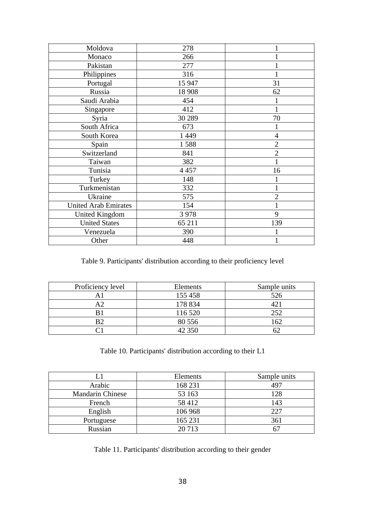| Moldova                     | 278     | 1              |
|-----------------------------|---------|----------------|
| Monaco                      | 266     | $\overline{1}$ |
| Pakistan                    | 277     | $\overline{1}$ |
| Philippines                 | 316     | $\mathbf{1}$   |
| Portugal                    | 15 947  | 31             |
| Russia                      | 18 908  | 62             |
| Saudi Arabia                | 454     | $\mathbf 1$    |
| Singapore                   | 412     | $\mathbf{1}$   |
| Syria                       | 30 289  | 70             |
| South Africa                | 673     | $\mathbf{1}$   |
| South Korea                 | 1 4 4 9 | $\overline{4}$ |
| Spain                       | 1588    | $\overline{2}$ |
| Switzerland                 | 841     | $\overline{2}$ |
| Taiwan                      | 382     | $\overline{1}$ |
| Tunisia                     | 4 4 5 7 | 16             |
| Turkey                      | 148     | $\overline{1}$ |
| Turkmenistan                | 332     | $\mathbf 1$    |
| <b>Ukraine</b>              | 575     | $\overline{2}$ |
| <b>United Arab Emirates</b> | 154     | $\overline{1}$ |
| <b>United Kingdom</b>       | 3978    | 9              |
| <b>United States</b>        | 65 211  | 139            |
| Venezuela                   | 390     | $\overline{1}$ |
| Other                       | 448     | $\overline{1}$ |

Table 9. Participants' distribution according to their proficiency level

| Proficiency level | Elements | Sample units |
|-------------------|----------|--------------|
|                   | 155 458  | 526          |
|                   | 178 834  | 421          |
|                   | 116 520  | 252          |
|                   | 80 556   | 162          |
|                   | 42 350   |              |

Table 10. Participants' distribution according to their L1

| L1                      | Elements | Sample units |
|-------------------------|----------|--------------|
| Arabic                  | 168 231  | 497          |
| <b>Mandarin Chinese</b> | 53 163   | 128          |
| French                  | 58 412   | 143          |
| English                 | 106 968  | 227          |
| Portuguese              | 165 231  | 361          |
| Russian                 | 20 713   | 67           |

Table 11. Participants' distribution according to their gender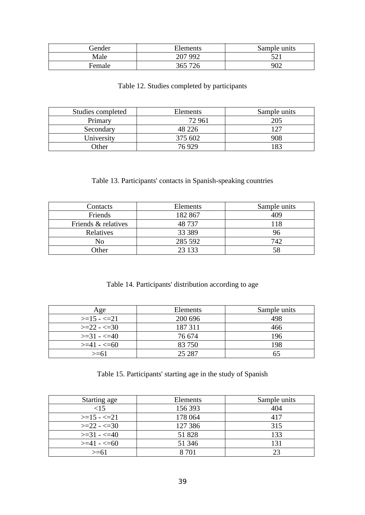| Gender | Elements | Sample units |
|--------|----------|--------------|
| Male   | 207 992  | 521          |
| Female | 365 726  | 902          |

### Table 12. Studies completed by participants

| Studies completed | Elements | Sample units |
|-------------------|----------|--------------|
| Primary           | 72 961   | 205          |
| Secondary         | 48 2 2 6 | 177          |
| University        | 375 602  | 908          |
| )ther             | 76 929   | R.           |

### Table 13. Participants' contacts in Spanish-speaking countries

| Contacts            | Elements | Sample units |
|---------------------|----------|--------------|
| Friends             | 182 867  | 409          |
| Friends & relatives | 48737    | 118          |
| Relatives           | 33 389   | 96           |
| No                  | 285 592  | 742          |
| )ther               | 23 1 33  | 58           |

### Table 14. Participants' distribution according to age

| Age                   | Elements | Sample units |
|-----------------------|----------|--------------|
| $>=15 - 5 = 21$       | 200 696  | 498          |
| $>=22 - 5 = 30$       | 187 311  | 466          |
| $\ge$ =31 - $\le$ =40 | 76 674   | 196          |
| $>= 41 - 50$          | 83750    | 198          |
| >=61                  | 25.287   | 65           |

Table 15. Participants' starting age in the study of Spanish

| Starting age    | Elements | Sample units |
|-----------------|----------|--------------|
| <15             | 156 393  | 404          |
| $>=15 - 5 = 21$ | 178 064  | 417          |
| $>=22 - 5 = 30$ | 127 386  | 315          |
| $>=31 - 540$    | 51 828   | 133          |
| $>= 41 - 50$    | 51 346   | 131          |
| $>= 61$         | 8 701    | 23           |